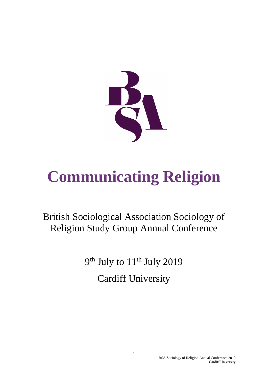

# **Communicating Religion**

# British Sociological Association Sociology of Religion Study Group Annual Conference

9<sup>th</sup> July to 11<sup>th</sup> July 2019 Cardiff University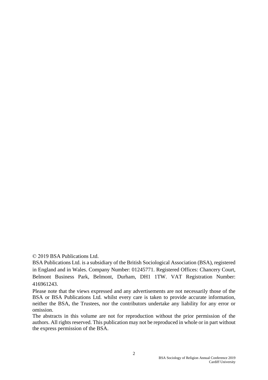© 2019 BSA Publications Ltd.

BSA Publications Ltd. is a subsidiary of the British Sociological Association (BSA), registered in England and in Wales. Company Number: 01245771. Registered Offices: Chancery Court, Belmont Business Park, Belmont, Durham, DH1 1TW. VAT Registration Number: 416961243.

Please note that the views expressed and any advertisements are not necessarily those of the BSA or BSA Publications Ltd. whilst every care is taken to provide accurate information, neither the BSA, the Trustees, nor the contributors undertake any liability for any error or omission.

The abstracts in this volume are not for reproduction without the prior permission of the authors. All rights reserved. This publication may not be reproduced in whole or in part without the express permission of the BSA.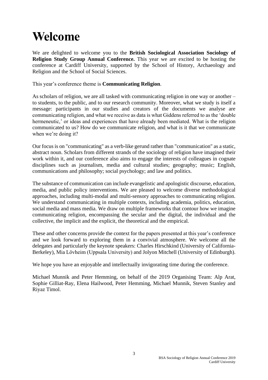# **Welcome**

We are delighted to welcome you to the **British Sociological Association Sociology of Religion Study Group Annual Conference.** This year we are excited to be hosting the conference at Cardiff University, supported by the School of History, Archaeology and Religion and the School of Social Sciences.

This year's conference theme is **Communicating Religion**.

As scholars of religion, we are all tasked with communicating religion in one way or another – to students, to the public, and to our research community. Moreover, what we study is itself a message: participants in our studies and creators of the documents we analyse are communicating religion, and what we receive as data is what Giddens referred to as the 'double hermeneutic,' or ideas and experiences that have already been mediated. What is the religion communicated to us? How do we communicate religion, and what is it that we communicate when we're doing it?

Our focus is on "communicating" as a verb-like gerund rather than "communication" as a static, abstract noun. Scholars from different strands of the sociology of religion have imagined their work within it, and our conference also aims to engage the interests of colleagues in cognate disciplines such as journalism, media and cultural studies; geography; music; English, communications and philosophy; social psychology; and law and politics.

The substance of communication can include evangelistic and apologistic discourse, education, media, and public policy interventions. We are pleased to welcome diverse methodological approaches, including multi-modal and multi-sensory approaches to communicating religion. We understand communicating in multiple contexts, including academia, politics, education, social media and mass media. We draw on multiple frameworks that contour how we imagine communicating religion, encompassing the secular and the digital, the individual and the collective, the implicit and the explicit, the theoretical and the empirical.

These and other concerns provide the context for the papers presented at this year's conference and we look forward to exploring them in a convivial atmosphere. We welcome all the delegates and particularly the keynote speakers: Charles Hirschkind (University of California-Berkeley), Mia Lövheim (Uppsala University) and Jolyon Mitchell (University of Edinburgh).

We hope you have an enjoyable and intellectually invigorating time during the conference.

Michael Munnik and Peter Hemming, on behalf of the 2019 Organising Team: Alp Arat, Sophie Gilliat-Ray, Elena Hailwood, Peter Hemming, Michael Munnik, Steven Stanley and Riyaz Timol.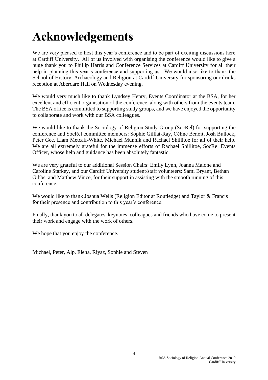# **Acknowledgements**

We are very pleased to host this year's conference and to be part of exciting discussions here at Cardiff University. All of us involved with organising the conference would like to give a huge thank you to Phillip Harris and Conference Services at Cardiff University for all their help in planning this year's conference and supporting us. We would also like to thank the School of History, Archaeology and Religion at Cardiff University for sponsoring our drinks reception at Aberdare Hall on Wednesday evening.

We would very much like to thank Lyndsey Henry, Events Coordinator at the BSA, for her excellent and efficient organisation of the conference, along with others from the events team. The BSA office is committed to supporting study groups, and we have enjoyed the opportunity to collaborate and work with our BSA colleagues.

We would like to thank the Sociology of Religion Study Group (SocRel) for supporting the conference and SocRel committee members: Sophie Gilliat-Ray, Céline Benoit, Josh Bullock, Peter Gee, Liam Metcalf-White, Michael Munnik and Rachael Shillitoe for all of their help. We are all extremely grateful for the immense efforts of Rachael Shillitoe, SocRel Events Officer, whose help and guidance has been absolutely fantastic.

We are very grateful to our additional Session Chairs: Emily Lynn, Joanna Malone and Caroline Starkey, and our Cardiff University student/staff volunteers: Sami Bryant, Bethan Gibbs, and Matthew Vince, for their support in assisting with the smooth running of this conference.

We would like to thank Joshua Wells (Religion Editor at Routledge) and Taylor & Francis for their presence and contribution to this year's conference.

Finally, thank you to all delegates, keynotes, colleagues and friends who have come to present their work and engage with the work of others.

We hope that you enjoy the conference.

Michael, Peter, Alp, Elena, Riyaz, Sophie and Steven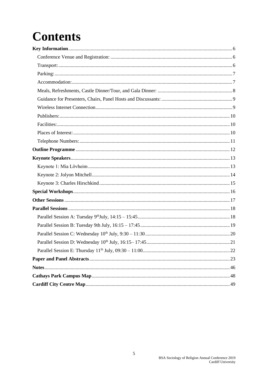# **Contents**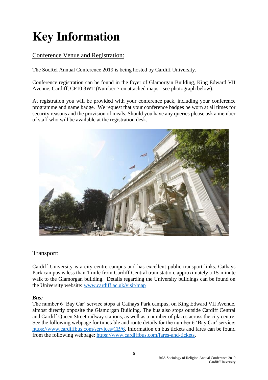# <span id="page-5-0"></span>**Key Information**

## <span id="page-5-1"></span>Conference Venue and Registration:

The SocRel Annual Conference 2019 is being hosted by Cardiff University.

Conference registration can be found in the foyer of Glamorgan Building, King Edward VII Avenue, Cardiff, CF10 3WT (Number 7 on attached maps - see photograph below).

At registration you will be provided with your conference pack, including your conference programme and name badge. We request that your conference badges be worn at all times for security reasons and the provision of meals. Should you have any queries please ask a member of staff who will be available at the registration desk.



## <span id="page-5-2"></span>Transport:

Cardiff University is a city centre campus and has excellent public transport links. Cathays Park campus is less than 1 mile from Cardiff Central train station, approximately a 15-minute walk to the Glamorgan building. Details regarding the University buildings can be found on the University website: [www.cardiff.ac.uk/visit/map](http://www.cardiff.ac.uk/visit/map)

### *Bus:*

The number 6 'Bay Car' service stops at Cathays Park campus, on King Edward VII Avenue, almost directly opposite the Glamorgan Building. The bus also stops outside Cardiff Central and Cardiff Queen Street railway stations, as well as a number of places across the city centre. See the following webpage for timetable and route details for the number 6 'Bay Car' service: [https://www.cardiffbus.com/services/CB/6.](https://www.cardiffbus.com/services/CB/6) Information on bus tickets and fares can be found from the following webpage: [https://www.cardiffbus.com/fares-and-tickets.](https://www.cardiffbus.com/fares-and-tickets)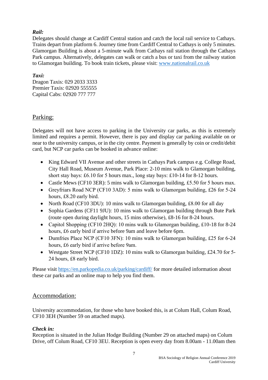## *Rail:*

Delegates should change at Cardiff Central station and catch the local rail service to Cathays. Trains depart from platform 6. Journey time from Cardiff Central to Cathays is only 5 minutes. Glamorgan Building is about a 5-minute walk from Cathays rail station through the Cathays Park campus. Alternatively, delegates can walk or catch a bus or taxi from the railway station to Glamorgan building. To book train tickets, please visit: [www.nationalrail.co.uk](http://www.nationalrail.co.uk/)

## *Taxi:*

Dragon Taxis: 029 2033 3333 Premier Taxis: 02920 555555 Capital Cabs: 02920 777 777

## <span id="page-6-0"></span>Parking:

Delegates will not have access to parking in the University car parks, as this is extremely limited and requires a permit. However, there is pay and display car parking available on or near to the university campus, or in the city centre. Payment is generally by coin or credit/debit card, but NCP car parks can be booked in advance online:

- King Edward VII Avenue and other streets in Cathays Park campus e.g. College Road, City Hall Road, Museum Avenue, Park Place: 2-10 mins walk to Glamorgan building, short stay bays: £6.10 for 5 hours max., long stay bays: £10-14 for 8-12 hours.
- Castle Mews (CF10 3ER): 5 mins walk to Glamorgan building, £5.50 for 5 hours max.
- Greyfriars Road NCP (CF10 3AD): 5 mins walk to Glamorgan building, £26 for 5-24 hours, £8.20 early bird.
- North Road (CF10 3DU): 10 mins walk to Glamorgan building, £8.00 for all day
- Sophia Gardens (CF11 9JU): 10 mins walk to Glamorgan building through Bute Park (route open during daylight hours, 15 mins otherwise), £8-16 for 8-24 hours.
- Capitol Shopping (CF10 2HQ): 10 mins walk to Glamorgan building, £10-18 for 8-24 hours, £6 early bird if arrive before 9am and leave before 6pm.
- Dumfries Place NCP (CF10 3FN): 10 mins walk to Glamorgan building, £25 for 6-24 hours, £6 early bird if arrive before 9am.
- Westgate Street NCP (CF10 1DZ): 10 mins walk to Glamorgan building, £24.70 for 5-24 hours, £8 early bird.

Please visit<https://en.parkopedia.co.uk/parking/cardiff/> for more detailed information about these car parks and an online map to help you find them[.](https://en.parkopedia.co.uk/parking/cardiff/)

## <span id="page-6-1"></span>Accommodation:

University accommodation, for those who have booked this, is at Colum Hall, Colum Road, CF10 3EH (Number 59 on attached maps).

## *Check in:*

Reception is situated in the Julian Hodge Building (Number 29 on attached maps) on Colum Drive, off Colum Road, CF10 3EU. Reception is open every day from 8.00am - 11.00am then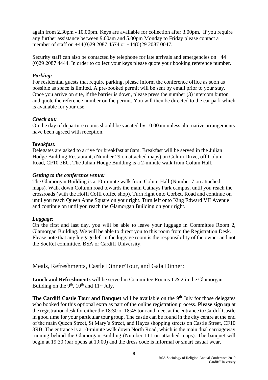again from 2.30pm - 10.00pm. Keys are available for collection after 3.00pm. If you require any further assistance between 9.00am and 5.00pm Monday to Friday please contact a member of staff on +44(0)29 2087 4574 or +44(0)29 2087 0047.

Security staff can also be contacted by telephone for late arrivals and emergencies on +44 (0)29 2087 4444. In order to collect your keys please quote your booking reference number.

### *Parking:*

For residential guests that require parking, please inform the conference office as soon as possible as space is limited. A pre-booked permit will be sent by email prior to your stay. Once you arrive on site, if the barrier is down, please press the number (3) intercom button and quote the reference number on the permit. You will then be directed to the car park which is available for your use.

#### *Check out:*

On the day of departure rooms should be vacated by 10.00am unless alternative arrangements have been agreed with reception.

#### **B***reakfast:*

Delegates are asked to arrive for breakfast at 8am. Breakfast will be served in the Julian Hodge Building Restaurant, (Number 29 on attached maps) on Colum Drive, off Colum Road, CF10 3EU. The Julian Hodge Building is a 2-minute walk from Colum Hall.

#### *Getting to the conference venue:*

The Glamorgan Building is a 10-minute walk from Colum Hall (Number 7 on attached maps). Walk down Column road towards the main Cathays Park campus, until you reach the crossroads (with the Hoffi Coffi coffee shop). Turn right onto Corbett Road and continue on until you reach Queen Anne Square on your right. Turn left onto King Edward VII Avenue and continue on until you reach the Glamorgan Building on your right.

#### *Luggage:*

On the first and last day, you will be able to leave your luggage in Committee Room 2, Glamorgan Building. We will be able to direct you to this room from the Registration Desk. Please note that any luggage left in the luggage room is the responsibility of the owner and not the SocRel committee, BSA or Cardiff University.

### <span id="page-7-0"></span>Meals, Refreshments, Castle Dinner/Tour, and Gala Dinner:

**Lunch and Refreshments** will be served in Committee Rooms 1 & 2 in the Glamorgan Building on the  $9<sup>th</sup>$ ,  $10<sup>th</sup>$  and  $11<sup>th</sup>$  July.

The Cardiff Castle Tour and Banquet will be available on the 9<sup>th</sup> July for those delegates who booked for this optional extra as part of the online registration process. **Please sign up** at the registration desk for either the 18:30 or 18:45 tour and meet at the entrance to Cardiff Castle in good time for your particular tour group. The castle can be found in the city centre at the end of the main Queen Street, St Mary's Street, and Hayes shopping streets on Castle Street, CF10 3RB. The entrance is a 10-minute walk down North Road, which is the main dual carriageway running behind the Glamorgan Building (Number 111 on attached maps). The banquet will begin at 19:30 (bar opens at 19:00) and the dress code is informal or smart casual wear.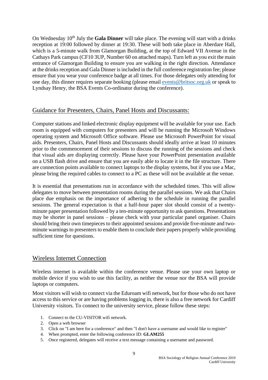On Wednesday 10<sup>th</sup> July the Gala Dinner will take place. The evening will start with a drinks reception at 19:00 followed by dinner at 19:30. These will both take place in Aberdare Hall, which is a 5-minute walk from Glamorgan Building, at the top of Edward VII Avenue in the Cathays Park campus (CF10 3UP, Number 60 on attached maps). Turn left as you exit the main entrance of Glamorgan Building to ensure you are walking in the right direction. Attendance at the drinks reception and Gala Dinner is included in the full conference registration fee; please ensure that you wear your conference badge at all times. For those delegates only attending for one day, this dinner requires separate booking (please email [events@britsoc.org.uk](mailto:events@britsoc.org.uk) or speak to Lyndsay Henry, the BSA Events Co-ordinator during the conference).

## <span id="page-8-0"></span>Guidance for Presenters, Chairs, Panel Hosts and Discussants:

Computer stations and linked electronic display equipment will be available for your use. Each room is equipped with computers for presenters and will be running the Microsoft Windows operating system and Microsoft Office software. Please use Microsoft PowerPoint for visual aids. Presenters, Chairs, Panel Hosts and Discussants should ideally arrive at least 10 minutes prior to the commencement of their sessions to discuss the running of the sessions and check that visual aids are displaying correctly. Please have your PowerPoint presentation available on a USB flash drive and ensure that you are easily able to locate it in the file structure. There are connection points available to connect laptops to the display systems, but if you use a Mac, please bring the required cables to connect to a PC as these will not be available at the venue.

It is essential that presentations run in accordance with the scheduled times. This will allow delegates to move between presentation rooms during the parallel sessions. We ask that Chairs place due emphasis on the importance of adhering to the schedule in running the parallel sessions. The general expectation is that a half-hour paper slot should consist of a twentyminute paper presentation followed by a ten-minute opportunity to ask questions. Presentations may be shorter in panel sessions – please check with your particular panel organiser. Chairs should bring their own timepieces to their appointed sessions and provide five-minute and twominute warnings to presenters to enable them to conclude their papers properly while providing sufficient time for questions.

## <span id="page-8-1"></span>Wireless Internet Connection

Wireless internet is available within the conference venue. Please use your own laptop or mobile device if you wish to use this facility, as neither the venue nor the BSA will provide laptops or computers.

Most visitors will wish to connect via the Eduroam wifi network, but for those who do not have access to this service or are having problems logging in, there is also a free network for Cardiff University visitors. To connect to the university service, please follow these steps:

- 1. Connect to the CU-VISITOR wifi network.
- 2. Open a web browser
- 3. Click on "I am here for a conference" and then "I don't have a username and would like to register"
- 4. When prompted, enter the following conference ID: **GLAM255**
- 5. Once registered, delegates will receive a text message containing a username and password.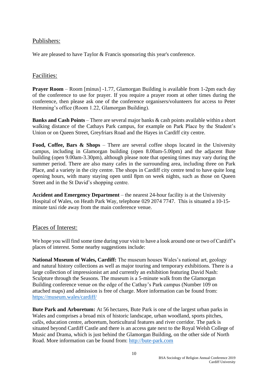## <span id="page-9-0"></span>Publishers:

We are pleased to have Taylor & Francis sponsoring this year's conference.

## <span id="page-9-1"></span>Facilities:

**Prayer Room** – Room [minus] -1.77, Glamorgan Building is available from 1-2pm each day of the conference to use for prayer. If you require a prayer room at other times during the conference, then please ask one of the conference organisers/volunteers for access to Peter Hemming's office (Room 1.22, Glamorgan Building).

**Banks and Cash Points** – There are several major banks & cash points available within a short walking distance of the Cathays Park campus, for example on Park Place by the Student's Union or on Queen Street, Greyfriars Road and the Hayes in Cardiff city centre.

**Food, Coffee, Bars & Shops** – There are several coffee shops located in the University campus, including in Glamorgan building (open 8.00am-5.00pm) and the adjacent Bute building (open 9.00am-3.30pm), although please note that opening times may vary during the summer period. There are also many cafes in the surrounding area, including three on Park Place, and a variety in the city centre. The shops in Cardiff city centre tend to have quite long opening hours, with many staying open until 8pm on week nights, such as those on Queen Street and in the St David's shopping centre.

**Accident and Emergency Department** – the nearest 24-hour facility is at the University Hospital of Wales, on Heath Park Way, telephone 029 2074 7747. This is situated a 10-15 minute taxi ride away from the main conference venue.

## <span id="page-9-2"></span>Places of Interest:

We hope you will find some time during your visit to have a look around one or two of Cardiff's places of interest. Some nearby suggestions include:

**National Museum of Wales, Cardiff:** The museum houses Wales's national art, geology and natural history collections as well as major touring and temporary exhibitions. There is a large collection of impressionist art and currently an exhibition featuring David Nash: Sculpture through the Seasons. The museum is a 5-minute walk from the Glamorgan Building conference venue on the edge of the Cathay's Park campus (Number 109 on attached maps) and admission is free of charge. More information can be found from: <https://museum.wales/cardiff/>

**Bute Park and Arboretum:** At 56 hectares, Bute Park is one of the largest urban parks in Wales and comprises a broad mix of historic landscape, urban woodland, sports pitches, cafés, education centre, arboretum, horticultural features and river corridor. The park is situated beyond Cardiff Castle and there is an access gate next to the Royal Welsh College of Music and Drama, which is just behind the Glamorgan Building, on the other side of North Road. More information can be found from: [http://bute-park.com](http://bute-park.com/)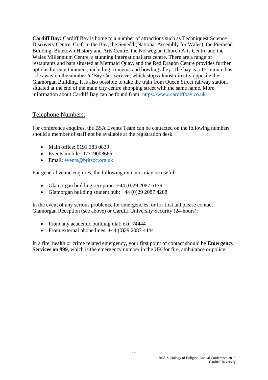**Cardiff Bay:** Cardiff Bay is home to a number of attractions such as Techniquest Science Discovery Centre, Craft in the Bay, the Senedd (National Assembly for Wales), the Pierhead Building, Butetown History and Arts Centre, the Norwegian Church Arts Centre and the Wales Millennium Centre, a stunning international arts centre. There are a range of restaurants and bars situated at Mermaid Quay, and the Red Dragon Centre provides further options for entertainment, including a cinema and bowling alley. The bay is a 15-minute bus ride away on the number 6 'Bay Car' service, which stops almost directly opposite the Glamorgan Building. It is also possible to take the train from Queen Street railway station, situated at the end of the main city centre shopping street with the same name. More information about Cardiff Bay can be found from: [https://www.cardiffbay.co.uk](https://www.cardiffbay.co.uk/)

## <span id="page-10-0"></span>Telephone Numbers:

For conference enquires, the BSA Events Team can be contacted on the following numbers should a member of staff not be available at the registration desk.

- Main office: 0191 383 0839
- Events mobile: 07719008665
- Email: [events@britsoc.org.uk](mailto:events@britsoc.org.uk)

For general venue enquires, the following numbers may be useful:

- Glamorgan building reception: +44 (0)29 2087 5179
- Glamorgan building student hub:  $+44 (0)29 2087 4208$

In the event of any serious problems, for emergencies, or for first aid please contact Glamorgan Reception (see above) or Cardiff University Security (24-hours):

- From any academic building dial: ext. 74444
- From external phone lines:  $+44$  (0)29 2087 4444

In a fire, health or crime related emergency, your first point of contact should be **Emergency Services on 999**, which is the emergency number in the UK for fire, ambulance or police.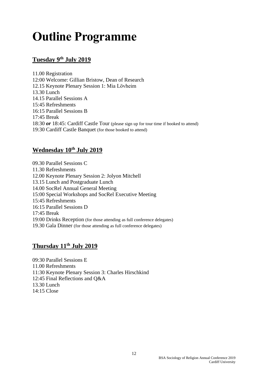# <span id="page-11-0"></span>**Outline Programme**

# **Tuesday 9 th July 2019**

11.00 Registration 12:00 Welcome: Gillian Bristow, Dean of Research 12.15 Keynote Plenary Session 1: Mia Lövheim 13.30 Lunch 14.15 Parallel Sessions A 15:45 Refreshments 16:15 Parallel Sessions B 17:45 Break 18:30 *or* 18:45: Cardiff Castle Tour (please sign up for tour time if booked to attend) 19:30 Cardiff Castle Banquet (for those booked to attend)

# **Wednesday 10 th July 2019**

09.30 Parallel Sessions C 11.30 Refreshments 12.00 Keynote Plenary Session 2: Jolyon Mitchell 13.15 Lunch and Postgraduate Lunch 14.00 SocRel Annual General Meeting 15:00 Special Workshops and SocRel Executive Meeting 15:45 Refreshments 16:15 Parallel Sessions D 17:45 Break 19:00 Drinks Reception (for those attending as full conference delegates) 19.30 Gala Dinner (for those attending as full conference delegates)

## **Thursday 11 th July 2019**

09:30 Parallel Sessions E 11.00 Refreshments 11:30 Keynote Plenary Session 3: Charles Hirschkind 12:45 Final Reflections and Q&A 13.30 Lunch 14:15 Close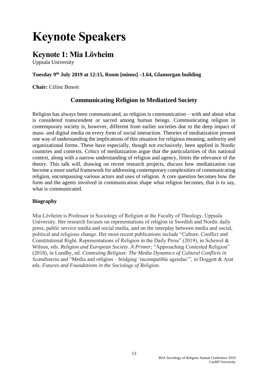# <span id="page-12-0"></span>**Keynote Speakers**

# <span id="page-12-1"></span>**Keynote 1: Mia Lövheim**

Uppsala University

## **Tuesday 9 th July 2019 at 12:15, Room [minus] –1.64, Glamorgan building**

**Chair:** Céline Benoit

## **Communicating Religion in Mediatized Society**

Religion has always been communicated, as religion is communication – with and about what is considered transcendent or sacred among human beings. Communicating religion in contemporary society is, however, different from earlier societies due to the deep impact of mass- and digital media on every form of social interaction. Theories of mediatization present one way of understanding the implications of this situation for religious meaning, authority and organizational forms. These have especially, though not exclusively, been applied in Nordic countries and contexts. Critics of mediatization argue that the particularities of this national context, along with a narrow understanding of religion and agency, limits the relevance of the theory. This talk will, drawing on recent research projects, discuss how mediatization can become a more useful framework for addressing contemporary complexities of communicating religion, encompassing various actors and uses of religion. A core question becomes how the form and the agents involved in communication shape what religion becomes, that is to say, what is communicated.

### **Biography**

Mia Lövheim is Professor in Sociology of Religion at the Faculty of Theology, Uppsala University. Her research focuses on representations of religion in Swedish and Nordic daily press, public service media and social media, and on the interplay between media and social, political and religious change. Her most recent publications include "Culture, Conflict and Constitutional Right. Representations of Religion in the Daily Press" (2019), in Schewel & Wilson, eds. *Religion and European Society. A Primer;* "Approaching Contested Religion" (2018), in Lundby, ed. *Contesting Religion: The Media Dynamics of Cultural Conflicts in Scandinavia* and "Media and religion – bridging 'incompatible agendas'", in Doggett & Arat eds. *Futures and Foundations in the Sociology of Religion.*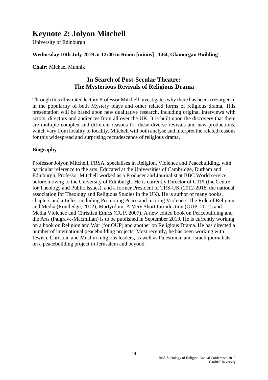# <span id="page-13-0"></span>**Keynote 2: Jolyon Mitchell**

University of Edinburgh

### **Wednesday 10th July 2019 at 12:00 in Room [minus] –1.64, Glamorgan Building**

**Chair:** Michael Munnik

## **In Search of Post-Secular Theatre: The Mysterious Revivals of Religious Drama**

Through this illustrated lecture Professor Mitchell investigates why there has been a resurgence in the popularity of both Mystery plays and other related forms of religious drama. This presentation will be based upon new qualitative research, including original interviews with actors, directors and audiences from all over the UK. It is built upon the discovery that there are multiple complex and different reasons for these diverse revivals and new productions, which vary from locality to locality. Mitchell will both analyse and interpret the related reasons for this widespread and surprising recrudescence of religious drama.

### **Biography**

Professor Jolyon Mitchell, FRSA, specialises in Religion, Violence and Peacebuilding, with particular reference to the arts. Educated at the Universities of Cambridge, Durham and Edinburgh, Professor Mitchell worked as a Producer and Journalist at BBC World service before moving to the University of Edinburgh. He is currently Director of CTPI (the Centre for Theology and Public Issues), and a former President of TRS-UK (2012-2018, the national association for Theology and Religious Studies in the UK). He is author of many books, chapters and articles, including Promoting Peace and Inciting Violence: The Role of Religion and Media (Routledge, 2012); Martyrdom: A Very Short Introduction (OUP, 2012) and Media Violence and Christian Ethics (CUP, 2007). A new edited book on Peacebuilding and the Arts (Palgrave-Macmillan) is to be published in September 2019. He is currently working on a book on Religion and War (for OUP) and another on Religious Drama. He has directed a number of international peacebuilding projects. Most recently, he has been working with Jewish, Christian and Muslim religious leaders, as well as Palestinian and Israeli journalists, on a peacebuilding project in Jerusalem and beyond.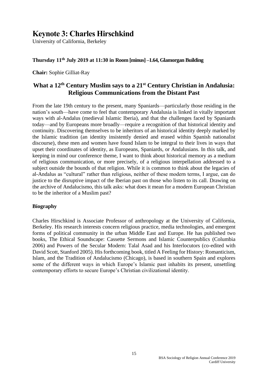# <span id="page-14-0"></span>**Keynote 3: Charles Hirschkind**

University of California, Berkeley

### **Thursday 11th July 2019 at 11:30 in Room [minus] –1.64, Glamorgan Building**

**Chair:** Sophie Gilliat-Ray

## **What a 12th Century Muslim says to a 21st Century Christian in Andalusia: Religious Communications from the Distant Past**

From the late 19th century to the present, many Spaniards—particularly those residing in the nation's south—have come to feel that contemporary Andalusia is linked in vitally important ways with al-Andalus (medieval Islamic Iberia), and that the challenges faced by Spaniards today—and by Europeans more broadly—require a recognition of that historical identity and continuity. Discovering themselves to be inheritors of an historical identity deeply marked by the Islamic tradition (an identity insistently denied and erased within Spanish nationalist discourse), these men and women have found Islam to be integral to their lives in ways that upset their coordinates of identity, as Europeans, Spaniards, or Andalusians. In this talk, and keeping in mind our conference theme, I want to think about historical memory as a medium of religious communication, or more precisely, of a religious interpellation addressed to a subject outside the bounds of that religion. While it is common to think about the legacies of al-Andalus as "cultural" rather than religious, neither of these modern terms, I argue, can do justice to the disruptive impact of the Iberian past on those who listen to its call. Drawing on the archive of Andalucismo, this talk asks: what does it mean for a modern European Christian to be the inheritor of a Muslim past?

### **Biography**

Charles Hirschkind is Associate Professor of anthropology at the University of California, Berkeley. His research interests concern religious practice, media technologies, and emergent forms of political community in the urban Middle East and Europe. He has published two books, The Ethical Soundscape: Cassette Sermons and Islamic Counterpublics (Columbia 2006) and Powers of the Secular Modern: Talal Asad and his Interlocutors (co-edited with David Scott, Stanford 2005). His forthcoming book, titled A Feeling for History: Romanticism, Islam, and the Tradition of Andalucismo (Chicago), is based in southern Spain and explores some of the different ways in which Europe's Islamic past inhabits its present, unsettling contemporary efforts to secure Europe's Christian civilizational identity.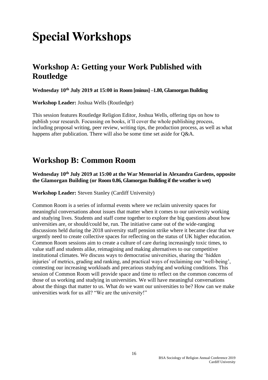# <span id="page-15-0"></span>**Special Workshops**

# **Workshop A: Getting your Work Published with Routledge**

**Wednesday 10 th July 2019 at 15:00 in Room [minus] –1.80, Glamorgan Building**

**Workshop Leader:** Joshua Wells (Routledge)

This session features Routledge Religion Editor, Joshua Wells, offering tips on how to publish your research. Focussing on books, it'll cover the whole publishing process, including proposal writing, peer review, writing tips, the production process, as well as what happens after publication. There will also be some time set aside for Q&A.

# **Workshop B: Common Room**

**Wednesday 10 th July 2019 at 15:00 at the War Memorial in Alexandra Gardens, opposite the Glamorgan Building (or Room 0.86, Glamorgan Building if the weather is wet)**

**Workshop Leader:** Steven Stanley (Cardiff University)

Common Room is a series of informal events where we reclaim university spaces for meaningful conversations about issues that matter when it comes to our university working and studying lives. Students and staff come together to explore the big questions about how universities are, or should/could be, run. The initiative came out of the wide-ranging discussions held during the 2018 university staff pension strike where it became clear that we urgently need to create collective spaces for reflecting on the status of UK higher education. Common Room sessions aim to create a culture of care during increasingly toxic times, to value staff and students alike, reimagining and making alternatives to our competitive institutional climates. We discuss ways to democratise universities, sharing the 'hidden injuries' of metrics, grading and ranking, and practical ways of reclaiming our 'well-being', contesting our increasing workloads and precarious studying and working conditions. This session of Common Room will provide space and time to reflect on the common concerns of those of us working and studying in universities. We will have meaningful conversations about the things that matter to us. What do we want our universities to be? How can we make universities work for us all? "We are the university!"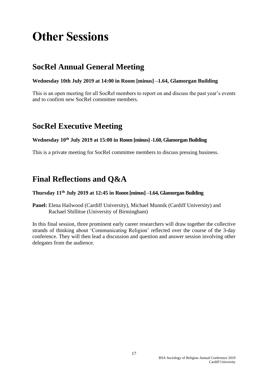# <span id="page-16-0"></span>**Other Sessions**

# **SocRel Annual General Meeting**

## **Wednesday 10th July 2019 at 14:00 in Room [minus] –1.64, Glamorgan Building**

This is an open meeting for all SocRel members to report on and discuss the past year's events and to confirm new SocRel committee members.

# **SocRel Executive Meeting**

### **Wednesday 10 th July 2019 at 15:00 in Room [minus] -1.60, Glamorgan Building**

This is a private meeting for SocRel committee members to discuss pressing business.

# **Final Reflections and Q&A**

### **Thursday 11th July 2019 at 12:45 in Room [minus] –1.64, Glamorgan Building**

**Panel:** Elena Hailwood (Cardiff University), Michael Munnik (Cardiff University) and Rachael Shillitoe (University of Birmingham)

In this final session, three prominent early career researchers will draw together the collective strands of thinking about 'Communicating Religion' reflected over the course of the 3-day conference. They will then lead a discussion and question and answer session involving other delegates from the audience.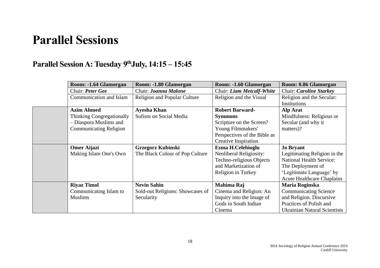# **Parallel Sessions**

# **Parallel Session A: Tuesday 9thJuly, 14:15 – 15:45**

<span id="page-17-1"></span><span id="page-17-0"></span>

| Room: -1.64 Glamorgan         | Room: - 1.80 Glamorgan           | Room: -1.60 Glamorgan        | Room: 0.86 Glamorgan                |
|-------------------------------|----------------------------------|------------------------------|-------------------------------------|
| Chair: Peter Gee              | Chair: Joanna Malone             | Chair: Liam Metcalf-White    | Chair: Caroline Starkey             |
| Communication and Islam       | Religion and Popular Culture     | Religion and the Visual      | Religion and the Secular:           |
|                               |                                  |                              | Institutions                        |
| <b>Azim Ahmed</b>             | <b>Ayesha Khan</b>               | <b>Robert Barward-</b>       | Alp Arat                            |
| Thinking Congregationally     | Sufism on Social Media           | <b>Symmons</b>               | Mindfulness: Religious or           |
| - Diaspora Muslims and        |                                  | Scripture on the Screen?     | Secular (and why it                 |
| <b>Communicating Religion</b> |                                  | Young Filmmakers'            | matters)?                           |
|                               |                                  | Perspectives of the Bible as |                                     |
|                               |                                  | <b>Creative Inspiration</b>  |                                     |
| <b>Omer Aijazi</b>            | <b>Grzegorz Kubinski</b>         | <b>Esma H.Celebioglu</b>     | <b>Jo Bryant</b>                    |
| Making Islam One's Own        | The Black Colour of Pop Culture  | Neoliberal Religiosity:      | Legitimating Religion in the        |
|                               |                                  | Techno-religious Objects     | <b>National Health Service:</b>     |
|                               |                                  | and Marketization of         | The Deployment of                   |
|                               |                                  | Religion in Turkey           | 'Legitimate Language' by            |
|                               |                                  |                              | <b>Acute Healthcare Chaplains</b>   |
| <b>Riyaz Timol</b>            | <b>Nevin Sahin</b>               | Mahima Raj                   | Maria Roginska                      |
| Communicating Islam to        | Sold-out Religions: Showcases of | Cinema and Religion: An      | <b>Communicating Science</b>        |
| <b>Muslims</b>                | Secularity                       | Inquiry into the Image of    | and Religion. Discursive            |
|                               |                                  | Gods in South Indian         | Practices of Polish and             |
|                               |                                  | Cinema                       | <b>Ukrainian Natural Scientists</b> |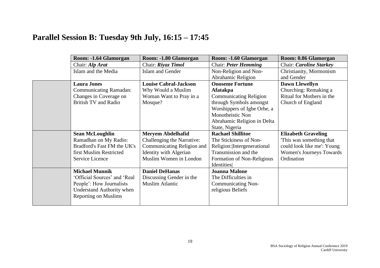# **Parallel Session B: Tuesday 9th July, 16:15 – 17:45**

<span id="page-18-0"></span>

| Room: - 1.64 Glamorgan           | Room: -1.80 Glamorgan         | Room: - 1.60 Glamorgan        | Room: 0.86 Glamorgan       |
|----------------------------------|-------------------------------|-------------------------------|----------------------------|
| Chair: Alp Arat                  | Chair: Riyaz Timol            | Chair: Peter Hemming          | Chair: Caroline Starkey    |
| Islam and the Media              | Islam and Gender              | Non-Religion and Non-         | Christianity, Mormonism    |
|                                  |                               | Abrahamic Religion            | and Gender                 |
| <b>Laura Jones</b>               | <b>Louise Cabral-Jackson</b>  | <b>Onoseme Fortune</b>        | <b>Dawn Llewellyn</b>      |
| <b>Communicating Ramadan:</b>    | Why Would a Muslim            | Afatakpa                      | Churching: Remaking a      |
| Changes in Coverage on           | Woman Want to Pray in a       | <b>Communicating Religion</b> | Ritual for Mothers in the  |
| <b>British TV and Radio</b>      | Mosque?                       | through Symbols amongst       | Church of England          |
|                                  |                               | Worshippers of Igbe Orhe, a   |                            |
|                                  |                               | Monotheistic Non              |                            |
|                                  |                               | Abrahamic Religion in Delta   |                            |
|                                  |                               | State, Nigeria                |                            |
| <b>Sean McLoughlin</b>           | <b>Meryem Abdelhafid</b>      | <b>Rachael Shillitoe</b>      | <b>Elizabeth Graveling</b> |
| Ramadhan on My Radio:            | Challenging the Narrative:    | The Stickiness of Non-        | This was something that    |
| Bradford's Fast FM the UK's      | Communicating Religion and    | Religion: Intergenerational   | could look like me': Young |
| first Muslim Restricted          | <b>Identity with Algerian</b> | Transmission and the          | Women's Journeys Towards   |
| Service Licence                  | Muslim Women in London        | Formation of Non-Religious    | Ordination                 |
|                                  |                               | Identities                    |                            |
| <b>Michael Munnik</b>            | <b>Daniel DeHanas</b>         | <b>Joanna Malone</b>          |                            |
| 'Official Sources' and 'Real     | Discussing Gender in the      | The Difficulties in           |                            |
| People': How Journalists         | <b>Muslim Atlantic</b>        | <b>Communicating Non-</b>     |                            |
| <b>Understand Authority when</b> |                               | religious Beliefs             |                            |
| <b>Reporting on Muslims</b>      |                               |                               |                            |
|                                  |                               |                               |                            |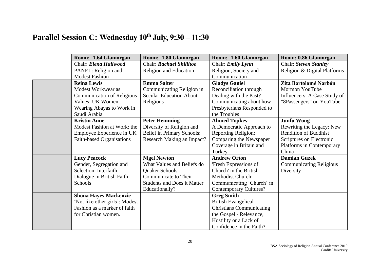# **Parallel Session C: Wednesday 10th July, 9:30 – 11:30**

<span id="page-19-0"></span>

| Room: -1.64 Glamorgan             | Room: -1.80 Glamorgan              | Room: - 1.60 Glamorgan          | Room: 0.86 Glamorgan           |
|-----------------------------------|------------------------------------|---------------------------------|--------------------------------|
| Chair: Elena Hailwood             | Chair: Rachael Shillitoe           | Chair: Emily Lynn               | Chair: Steven Stanley          |
| PANEL: Religion and               | <b>Religion and Education</b>      | Religion, Society and           | Religion & Digital Platforms   |
| <b>Modest Fashion</b>             |                                    | Communication                   |                                |
| <b>Reina Lewis</b>                | <b>Emma Salter</b>                 | <b>Gladys Ganiel</b>            | Zita Bartolomé Narbón          |
| Modest Workwear as                | Communicating Religion in          | Reconciliation through          | Mormon YouTube                 |
| <b>Communication of Religious</b> | <b>Secular Education About</b>     | Dealing with the Past?          | Influencers: A Case Study of   |
| Values: UK Women                  | Religions                          | Communicating about how         | "8Passengers" on YouTube       |
| Wearing Abayas to Work in         |                                    | Presbyterians Responded to      |                                |
| Saudi Arabia                      |                                    | the Troubles                    |                                |
| <b>Kristin Aune</b>               | <b>Peter Hemming</b>               | <b>Ahmed Topkev</b>             | <b>Junfu Wong</b>              |
| Modest Fashion at Work: the       | Diversity of Religion and          | A Democratic Approach to        | Rewriting the Legacy: New      |
| Employee Experience in UK         | <b>Belief in Primary Schools:</b>  | <b>Reporting Religion:</b>      | <b>Rendition of Buddhist</b>   |
| Faith-based Organisations         | Research Making an Impact?         | Comparing the Newspaper         | Scriptures on Electronic       |
|                                   |                                    | Coverage in Britain and         | Platforms in Contemporary      |
|                                   |                                    | Turkey                          | China                          |
| <b>Lucy Peacock</b>               | <b>Nigel Newton</b>                | <b>Andrew Orton</b>             | <b>Damian Guzek</b>            |
| Gender, Segregation and           | What Values and Beliefs do         | 'Fresh Expressions of           | <b>Communicating Religious</b> |
| Selection: Interfaith             | Quaker Schools                     | Church' in the British          | Diversity                      |
| Dialogue in British Faith         | Communicate to Their               | <b>Methodist Church:</b>        |                                |
| Schools                           | <b>Students and Does it Matter</b> | Communicating 'Church' in       |                                |
|                                   | Educationally?                     | <b>Contemporary Cultures?</b>   |                                |
| <b>Shona Hayes-Mackenzie</b>      |                                    | <b>Greg Smith</b>               |                                |
| 'Not like other girls': Modest    |                                    | <b>British Evangelical</b>      |                                |
| Fashion as a marker of faith      |                                    | <b>Christians Communicating</b> |                                |
| for Christian women.              |                                    | the Gospel - Relevance,         |                                |
|                                   |                                    | Hostility or a Lack of          |                                |
|                                   |                                    | Confidence in the Faith?        |                                |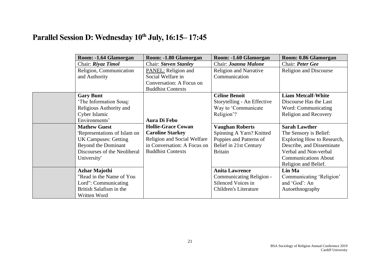# **Parallel Session D: Wednesday 10th July, 16:15– 17:45**

<span id="page-20-0"></span>

| Room: -1.64 Glamorgan        | Room: - 1.80 Glamorgan      | Room: -1.60 Glamorgan         | Room: 0.86 Glamorgan          |
|------------------------------|-----------------------------|-------------------------------|-------------------------------|
| Chair: Riyaz Timol           | Chair: Steven Stanley       | Chair: Joanna Malone          | Chair: Peter Gee              |
| Religion, Communication      | PANEL: Religion and         | <b>Religion and Narrative</b> | <b>Religion and Discourse</b> |
| and Authority                | Social Welfare in           | Communication                 |                               |
|                              | Conversation: A Focus on    |                               |                               |
|                              | <b>Buddhist Contexts</b>    |                               |                               |
| <b>Gary Bunt</b>             |                             | <b>Céline Benoit</b>          | <b>Liam Metcalf-White</b>     |
| 'The Information Souq:       |                             | Storytelling - An Effective   | Discourse Has the Last        |
| Religious Authority and      |                             | Way to 'Communicate           | Word: Communicating           |
| Cyber Islamic                |                             | Religion'?                    | <b>Religion and Recovery</b>  |
| Environments'                | <b>Aura Di Febo</b>         |                               |                               |
| <b>Mathew Guest</b>          | <b>Hollie-Grace Cowan</b>   | <b>Vaughan Roberts</b>        | <b>Sarah Lawther</b>          |
| 'Representations of Islam on | <b>Caroline Starkey</b>     | Spinning A Yarn? Knitted      | The Sensory is Belief:        |
| <b>UK Campuses: Getting</b>  | Religion and Social Welfare | Poppies and Patterns of       | Exploring How to Research,    |
| Beyond the Dominant          | in Conversation: A Focus on | Belief in 21st Century        | Describe, and Disseminate     |
| Discourses of the Neoliberal | <b>Buddhist Contexts</b>    | <b>Britain</b>                | Verbal and Non-verbal         |
| University'                  |                             |                               | <b>Communications About</b>   |
|                              |                             |                               | Religion and Belief.          |
| <b>Azhar Majothi</b>         |                             | <b>Anita Lawrence</b>         | Lin Ma                        |
| "Read in the Name of You     |                             | Communicating Religion -      | Communicating 'Religion'      |
| Lord": Communicating         |                             | Silenced Voices in            | and 'God': An                 |
| British Salafism in the      |                             | <b>Children's Literature</b>  | Autoethnography               |
| Written Word                 |                             |                               |                               |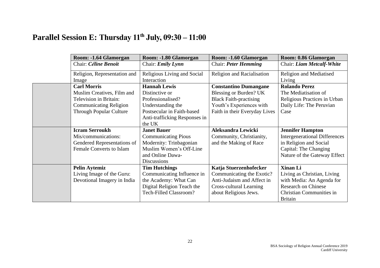# **Parallel Session E: Thursday 11th July, 09:30 – 11:00**

<span id="page-21-0"></span>

| Room: - 1.64 Glamorgan                | Room: -1.80 Glamorgan                      | Room: -1.60 Glamorgan         | Room: 0.86 Glamorgan                 |
|---------------------------------------|--------------------------------------------|-------------------------------|--------------------------------------|
| Chair: Céline Benoit                  | Chair: <i>Emily Lynn</i>                   | Chair: Peter Hemming          | Chair: Liam Metcalf-White            |
| Religion, Representation and<br>Image | Religious Living and Social<br>Interaction | Religion and Racialisation    | Religion and Mediatised<br>Living    |
| <b>Carl Morris</b>                    | <b>Hannah Lewis</b>                        | <b>Constantino Dumangane</b>  | <b>Rolando Perez</b>                 |
| Muslim Creatives, Film and            | Distinctive or                             | Blessing or Burden? UK        | The Mediatisation of                 |
| <b>Television in Britain:</b>         | Professionalised?                          | <b>Black Faith-practising</b> | Religious Practices in Urban         |
| <b>Communicating Religion</b>         | Understanding the                          | Youth's Experiences with      | Daily Life: The Peruvian             |
| <b>Through Popular Culture</b>        | Postsecular in Faith-based                 | Faith in their Everyday Lives | Case                                 |
|                                       | Anti-trafficking Responses in              |                               |                                      |
|                                       | the UK                                     |                               |                                      |
| <b>Icram Serroukh</b>                 | <b>Janet Bauer</b>                         | <b>Aleksandra Lewicki</b>     | <b>Jennifer Hampton</b>              |
| Mis/communications:                   | <b>Communicating Pious</b>                 | Community, Christianity,      | <b>Intergenerational Differences</b> |
| Gendered Representations of           | Modernity: Trinbagonian                    | and the Making of Race        | in Religion and Social               |
| <b>Female Converts to Islam</b>       | Muslim Women's Off-Line                    |                               | Capital: The Changing                |
|                                       | and Online Dawa-                           |                               | Nature of the Gateway Effect         |
|                                       | <b>Discussions</b>                         |                               |                                      |
| <b>Pelin Aytemiz</b>                  | <b>Tim Hutchings</b>                       | Katja Stuerzenhofecker        | Xinan Li                             |
| Living Image of the Guru:             | Communicating Influence in                 | Communicating the Exotic?     | Living as Christian, Living          |
| Devotional Imagery in India           | the Academy: What Can                      | Anti-Judaism and Affect in    | with Media: An Agenda for            |
|                                       | Digital Religion Teach the                 | Cross-cultural Learning       | <b>Research on Chinese</b>           |
|                                       | Tech-Filled Classroom?                     | about Religious Jews.         | Christian Communities in             |
|                                       |                                            |                               | <b>Britain</b>                       |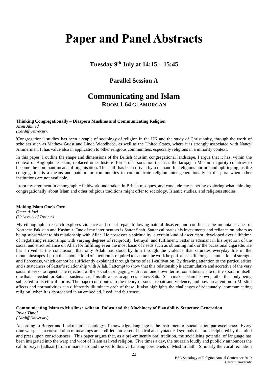# <span id="page-22-0"></span>**Paper and Panel Abstracts**

**Tuesday 9th July at 14:15 – 15:45**

## **Parallel Session A**

# **Communicating and Islam ROOM 1.64 GLAMORGAN**

**Thinking Congregationally – Diaspora Muslims and Communicating Religion**

*Azim Ahmed (Cardiff University)*

'Congregational studies' has been a staple of sociology of religion in the UK and the study of Christianity, through the work of scholars such as Mathew Guest and Linda Woodhead, as well as the United States, where it is strongly associated with Nancy Ammerman. It has value also in application to other religious communities, especially religions in a minority context.

In this paper, I outline the shape and dimensions of the British Muslim congregational landscape. I argue that it has, within the context of Anglophone Islam, replaced other historic forms of association (such as the tariqa) in Muslim-majority countries to become the dominant means of organisation. This shift has been driven by a demand for religious nurture and upbringing, as the congregation is a means and pattern for communities to communicate religion inter-generationally in diaspora when other institutions are not available.

I root my argument in ethnographic fieldwork undertaken in British mosques, and conclude my paper by exploring what 'thinking congregationally' about Islam and other religious traditions might offer to sociology, Islamic studies, and religious studies.

#### **Making Islam One's Own**

*Omer Aijazi (University of Toronto)*

My ethnographic research explores violence and social repair following natural disasters and conflict in the mountainscapes of Northern Pakistan and Kashmir. One of my interlocutors is Sattar Shah. Sattar calibrates his investments and reliance on others as being subservient to his relationship with Allah. He possesses a spirituality, a certain kind of asceticism, developed over a lifetime of negotiating relationships with varying degrees of reciprocity, betrayal, and fulfilment. Sattar is adamant in his rejection of the social and strict reliance on Allah for fulfilling even the most basic of needs such as obtaining milk or the occasional cigarette. He has arrived at the conclusion, that only Allah has stood by him through the violence that saturates everyday life in the mountainscapes. I posit that another kind of attention is required to capture the work he performs: a lifelong accumulation of strength and fierceness, which cannot be sufficiently explained through forms of self-cultivation. By drawing attention to the particularities and situatedness of Sattar's relationship with Allah, I attempt to show that this relationship is accumulative and accretive of the very social it seeks to reject. The rejection of the social or engaging with it on one's own terms, constitutes a site of the social in itself, one that is needed for Sattar's sustenance. This allows us to appreciate how Sattar Shah makes Islam his own, rather than only being subjected to its ethical norms. The paper contributes to the theory of social repair and violence, and how an attention to Muslim affects and normativities can differently illuminate each of these. It also highlights the challenges of adequately 'communicating religion' when it is approached in an embodied, lived, and felt sense.

#### **Communicating Islam to Muslims: Adhaan, Da'wa and the Machinery of Plausibility Structure Generation**

*Riyaz Timol (Cardiff University)*

According to Berger and Luckmann's sociology of knowledge, language is the instrument of socialisation par excellence. Every time we speak, a constellation of meanings are codified into a set of lexical and syntactical symbols that are deciphered by the mind and press upon consciousness. This paper argues that, as a pre-eminently oral tradition, the socialising potential of language has been integrated into the warp and woof of Islam as lived religion. Five times a day, the muezzin loudly and publicly announces the call to prayer [adhaan] from minarets around the world thus verbalising core tenets of Muslim faith. Similarly the vocal recitation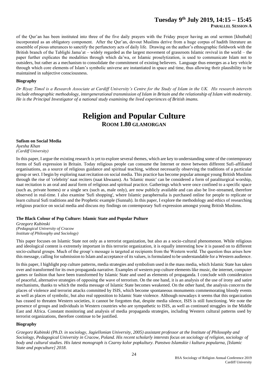## **Tuesday 9th July 2019, 14:15 – 15:45**

of the Qur'an has been instituted into three of the five daily prayers with the Friday prayer having an oral sermon [khutbah] incorporated as an obligatory component. After the Qur'an, devout Muslims derive from a huge corpus of hadith literature an ensemble of pious utterances to sanctify the perfunctory acts of daily life. Drawing on the author's ethnographic fieldwork with the British branch of the Tablighi Jama'at – widely regarded as the largest movement of grassroots Islamic revival in the world – the paper further explicates the modalities through which da'wa, or Islamic proselytization, is used to communicate Islam not to outsiders, but rather as a mechanism to consolidate the commitment of existing believers. Language thus emerges as a key vehicle through which core elements of Islam's symbolic universe are instantiated in space and time, thus allowing their plausibility to be maintained in subjective consciousness.

#### **Biography**

*Dr Riyaz Timol is a Research Associate at Cardiff University's Centre for the Study of Islam in the UK. His research interests include ethnographic methodology, intergenerational transmission of Islam in Britain and the relationship of Islam with modernity. He is the Principal Investigator of a national study examining the lived experiences of British imams.*

# **Religion and Popular Culture ROOM 1.80 GLAMORGAN**

#### **Sufism on Social Media**

*Ayesha Khan (Cardiff University)*

In this paper, I argue the existing research is yet to explore several themes, which are key to understanding some of the contemporary forms of Sufi expression in Britain. Today religious people can consume the Internet or move between different Sufi-affiliated organisations, as a source of religious guidance and spiritual teaching, without necessarily observing the traditions of a particular group or sect. I begin by exploring naat recitation on social media. This practice has become popular amongst young British Muslims through the rise of 'celebrity' naat reciters (naat khwaans). As 'Islamic music' can be considered a form of paraliturgical worship, naat recitation is an oral and aural form of religious and spiritual practice. Gatherings which were once confined to a specific space (such as, private homes) or a single sex (such as, male only), are now publicly available and can also be live-streamed, therefore observed in real-time. I also examine 'Sufi shopping', where Islamic paraphernalia is purchased online for people to replicate or learn cultural Sufi traditions and the Prophetic example (Sunnah). In this paper, I explore the methodology and ethics of researching religious practice on social media and discuss my findings on contemporary Sufi expression amongst young British Muslims.

#### **The Black Colour of Pop Culture: Islamic State and Popular Pulture**

*Grzegorz Kubinski (Pedagogical University of Cracow Institute of Philosophy and Sociology)*

This paper focuses on Islamic State not only as a terrorist organization, but also as a socio-cultural phenomenon. While religious and ideological content is extremely important in this terrorist organization, it is equally interesting how it is passed on to different socio-cultural groups. Much of the group's message is targeted at recipients from the Western world. The question thus arises how this message, calling for submission to Islam and acceptance of its values, is formulated to be understandable for a Western audience.

In this paper, I highlight pop culture patterns, media strategies and symbolism used in the mass media, which Islamic State has taken over and transformed for its own propaganda narrative. Examples of western pop culture elements like music, the internet, computer games or fashion that have been transformed by Islamic State and used as elements of propaganda. I conclude with consideration of peaceful, alternative strategies of opposing the wave of terrorism. On the one hand, it is an analysis of the use of irony and satire mechanisms, thanks to which the media message of Islamic State becomes weakened. On the other hand, the analysis concerns the places of violence and terrorist attacks committed by ISIS, which become spontaneous monuments commemorating bloody events as well as places of symbolic, but also real opposition to Islamic State violence. Although nowadays it seems that this organization has ceased to threaten Western societies, it cannot be forgotten that, despite media silence, ISIS is still functioning. We note the presence of groups and individuals in Western countries who are sympathetic to ISIS, as well as continued struggles in the Middle East and Africa. Constant monitoring and analysis of media propaganda strategies, including Western cultural patterns used by terrorist organizations, therefore continue to be justified.

#### **Biography**

*Grzegorz Kubinski (Ph.D. in sociology, Jagiellonian University, 2005) assistant professor at the Institute of Philosophy and Sociology, Pedagogical University in Cracow, Poland. His recent scholarly interests focus on sociology of religion, sociology of body and cultural studies. His latest monograph is Czarny kolor popkultury. Panstwo Islamskie i kultura popularna, [Islamic State and popculture] 2018*.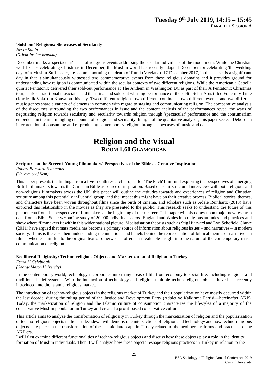#### **'Sold-out' Religions: Showcases of Secularity**

*Nevin Sahin (Orient-Institut Istanbul)*

December marks a 'spectacular' clash of religious events addressing the secular individuals of the modern era. While the Christian world keeps celebrating Christmas in December, the Muslim world has recently adapted December for celebrating 'the wedding day' of a Muslim Sufi leader, i.e. commemorating the death of Rumi (Mevlana). 17 December 2017, in this sense, is a significant day in that it simultaneously witnessed two commemorative events from these religious domains and it provides ground for understanding how religion is communicated within the secular contexts of two different religions. While the American a Capella quintet Pentatonix delivered their sold-out performance at The Anthem in Washington DC as part of their A Pentatonix Christmas tour, Turkish traditional musicians held their final and sold-out whirling performance of the 744th Seb-i Arus titled Fraternity Time (Kardeslik Vakti) in Konya on this day. Two different religions, two different continents, two different events, and two different music genres share a variety of elements in common with regard to staging and communicating religion. The comparative analysis of the discourses surrounding the two performances in issue and the content analysis of the performances reveal the ways of negotiating religion towards secularity and secularity towards religion through 'spectacular' performance and the consumerism embedded in the intermingling encounter of religion and secularity. In light of the qualitative analyses, this paper seeks a Debordian interpretation of consuming and re-producing contemporary religion through showcases of music and dance.

# **Religion and the Visual ROOM 1.60 GLAMORGAN**

#### **Scripture on the Screen? Young Filmmakers' Perspectives of the Bible as Creative Inspiration**

*Robert Barward-Symmons (University of Kent)*

This paper presents the findings from a five-month research project for 'The Pitch' film fund exploring the perspectives of emerging British filmmakers towards the Christian Bible as source of inspiration. Based on semi-structured interviews with both religious and non-religious filmmakers across the UK, this paper will outline the attitudes towards and experiences of religion and Christian scripture among this potentially influential group, and the impact this might have on their creative process. Biblical stories, themes, and characters have been woven throughout films since the birth of cinema, and scholars such as Adele Reinhartz (2013) have explored this relationship in the movies as they are presented to the public. This research seeks to understand the future of this phenomena from the perspective of filmmakers at the beginning of their career. This paper will also draw upon major new research data from a Bible Society/YouGov study of 20,000 individuals across England and Wales into religious attitudes and practices and show where filmmakers fit within this wider national picture. Mediatisation theorists such as Stig Hjarvard and Lyn Schofield Clarke (2011) have argued that mass media has become a primary source of information about religious issues – and narratives – in modern society. If this is the case then understanding the intentions and beliefs behind the representation of biblical themes or narratives in film – whether 'faithful' to the original text or otherwise – offers an invaluable insight into the nature of the contemporary masscommunication of religion.

#### **Neoliberal Religiosity: Techno-religious Objects and Marketization of Religion in Turkey**

*Esma H Celebioglu (George Mason University)*

In the contemporary world, technology incorporates into many areas of life from economy to social life, including religions and traditional belief systems. With the interaction of technology and religion, multiple techno-religious objects have been recently introduced into the Islamic religious market.

The introduction of techno-religious objects in the religious market of Turkey and their popularization have mostly occurred within the last decade, during the ruling period of the Justice and Development Party (Adalet ve Kalkinma Partisi—hereinafter AKP). Today, the marketization of religion and the Islamic culture of consumption characterize the lifestyles of a majority of the conservative Muslim population in Turkey and created a profit-based conservative culture.

This article aims to analyze the transformation of religiosity in Turkey through the marketization of religion and the popularization of techno-religious objects in the last decades. I will demonstrate intersections of religion and technology and how techno-religious objects take place in the transformation of the Islamic landscape in Turkey related to the neoliberal reforms and practices of the AKP era.

I will first examine different functionalities of techno-religious objects and discuss how these objects play a role in the identity formation of Muslim individuals. Then, I will analyze how these objects reshape religious practices in Turkey in relation to the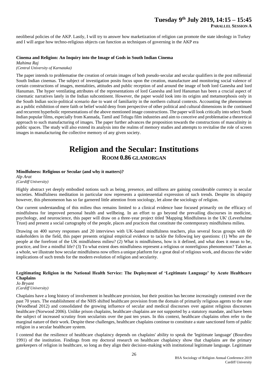#### **Tuesday 9th July 2019, 14:15 – 15:45 PARALLEL SESSION A**

neoliberal policies of the AKP. Lastly, I will try to answer how marketization of religion can promote the state ideology in Turkey and I will argue how techno-religious objects can function as techniques of governing in the AKP era

#### **Cinema and Religion: An Inquiry into the Image of Gods in South Indian Cinema**

*Mahima Raj (Central University of Karnataka)*

The paper intends to problematise the creation of certain images of both pseudo-secular and secular qualifiers in the post millennial South Indian cinemas. The subject of investigation posits focus upon the creation, manufacture and monitoring social valence of certain constructions of images, mentalities, attitudes and public reception of and around the image of both lord Ganesha and lord Hanuman. The hyper ventilating attributes of the representations of lord Ganesha and lord Hanuman has been a crucial aspect of cinematic narratives lately in the Indian subcontinent. However, the paper would look into its origins and metamorphosis only in the South Indian socio-political scenario due to want of familiarity in the northern cultural contexts. Accounting the phenomenon as a public exhibition of mere faith or belief would deny from perspective of other political and cultural dimensions in the continued and recurrent hyperbolic representations of the above mentioned image constructions. The paper will look critically into select South Indian popular films, especially from Kannada, Tamil and Telugu film industries and aim to conceive and problematise a theoretical approach to such manufacturing of images. The paper further advances the proposition towards the constructions of masculinity in public spaces. The study will also extend its analysis into the realms of memory studies and attempts to revitalise the role of screen images in manufacturing the collective memory of any given society.

# **Religion and the Secular: Institutions ROOM 0.86 GLAMORGAN**

#### **Mindfulness: Religious or Secular (and why it matters)?**

*Alp Arat (Cardiff University)*

Highly abstract yet deeply embodied notions such as being, presence, and stillness are gaining considerable currency in secular societies. Mindfulness meditation in particular now represents a quintessential expression of such trends. Despite its ubiquity however, this phenomenon has so far garnered little attention from sociology, let alone the sociology of religion.

Our current understanding of this milieu thus remains limited to a clinical evidence base focused primarily on the efficacy of mindfulness for improved personal health and wellbeing. In an effort to go beyond the prevailing discourses in medicine, psychology, and neuroscience, this paper will draw on a three-year project titled 'Mapping Mindfulness in the UK' (Leverhulme Trust) and present a social cartography of the people, places and practices that constitute the contemporary mindfulness milieu.

Drawing on 400 survey responses and 20 interviews with UK-based mindfulness teachers, plus several focus groups with 60 stakeholders in the field, this paper presents original empirical evidence to tackle the following key questions: (1) Who are the people at the forefront of the UK mindfulness milieu? (2) What is mindfulness, how is it defined, and what does it mean to be, practice, and live a mindful life? (3) To what extent does mindfulness represent a religious or nonreligious phenomenon? Taken as a whole, we illustrate how secular mindfulness now offers a unique platform for a great deal of religious work, and discuss the wider implications of such trends for the modern evolution of religion and secularity.

#### **Legitimating Religion in the National Health Service: The Deployment of 'Legitimate Language' by Acute Healthcare Chaplains**

*Jo Bryant (Cardiff University)*

Chaplains have a long history of involvement in healthcare provision, but their position has become increasingly contested over the past 70 years. The establishment of the NHS shifted healthcare provision from the domain of primarily religious agents to the state (Woodhead 2012) and consolidated the growing influence of secular and medical discourses over against religious discourses healthcare (Norwood 2006). Unlike prison chaplains, healthcare chaplains are not supported by a statutory mandate, and have been the subject of increased scrutiny from secularists over the past ten years. In this context, healthcare chaplains often refer to the marginal nature of their work. Despite these challenges, healthcare chaplains continue to constitute a state sanctioned form of public religion in a secular healthcare system.

I contend that the resilience of healthcare chaplaincy depends on chaplains' ability to speak the 'legitimate language' (Bourdieu 1991) of the institution. Findings from my doctoral research on healthcare chaplaincy show that chaplains are the primary gatekeepers of religion in healthcare, so long as they align their decision-making with institutional legitimate language. Legitimate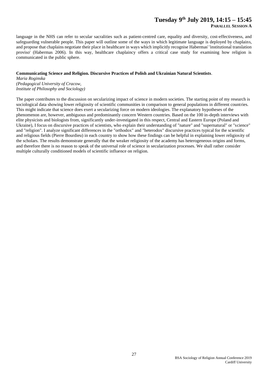### **Tuesday 9th July 2019, 14:15 – 15:45**

**PARALLEL SESSION A**

language in the NHS can refer to secular sacralities such as patient-centred care, equality and diversity, cost-effectiveness, and safeguarding vulnerable people. This paper will outline some of the ways in which legitimate language is deployed by chaplains, and propose that chaplains negotiate their place in healthcare in ways which implicitly recognise Habermas' 'institutional translation proviso' (Habermas 2006). In this way, healthcare chaplaincy offers a critical case study for examining how religion is communicated in the public sphere.

#### **Communicating Science and Religion. Discursive Practices of Polish and Ukrainian Natural Scientists**.

*Maria Roginska (Pedagogical University of Cracow, Institute of Philosophy and Sociology)*

The paper contributes to the discussion on secularizing impact of science in modern societies. The starting point of my research is sociological data showing lower religiosity of scientific communities in comparison to general populations in different countries. This might indicate that science does exert a secularizing force on modern ideologies. The explanatory hypotheses of the phenomenon are, however, ambiguous and predominantly concern Western countries. Based on the 100 in-depth interviews with elite physicists and biologists from, significantly under-investigated in this respect, Central and Eastern Europe (Poland and Ukraine), I focus on discursive practices of scientists, who explain their understanding of "nature" and "supernatural" or "science" and "religion". I analyze significant differences in the "orthodox" and "heterodox" discursive practices typical for the scientific and religious fields (Pierre Bourdieu) in each country to show how these findings can be helpful in explaining lower religiosity of the scholars. The results demonstrate generally that the weaker religiosity of the academy has heterogeneous origins and forms, and therefore there is no reason to speak of the universal role of science in secularization processes. We shall rather consider multiple culturally conditioned models of scientific influence on religion.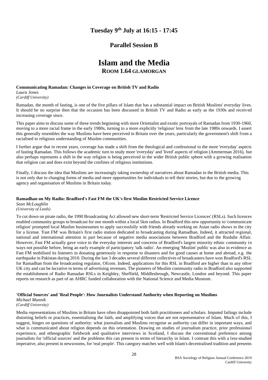## **Tuesday 9th July at 16:15 - 17:45**

## **Parallel Session B**

# **Islam and the Media**

## **ROOM 1.64 GLAMORGAN**

#### **Communicating Ramadan: Changes in Coverage on British TV and Radio**

*Laura Jones*

*(Cardiff University)*

Ramadan, the month of fasting, is one of the five pillars of Islam that has a substantial impact on British Muslims' everyday lives. It should be no surprise then that the occasion has been discussed in British TV and Radio as early as the 1930s and received increasing coverage since.

This paper aims to discuss some of these trends beginning with more Orientalist and exotic portrayals of Ramadan from 1930-1960, moving to a more racial frame in the early 1980s, turning to a more explicitly 'religious' lens from the late 1980s onwards. I assert this generally resembles the way Muslims have been perceived in Britain over the years, particularly the government's shift from a racialised to religious understanding of Muslim communities.

I further argue that in recent years, coverage has made a shift from the theological and confessional to the more 'everyday' aspects of fasting Ramadan. This follows the academic turn to study more 'everyday' and 'lived' aspects of religion (Ammerman 2016), but also perhaps represents a shift in the way religion is being perceived in the wider British public sphere with a growing realisation that religion can and does exist beyond the confines of religious institutions.

Finally, I discuss the idea that Muslims are increasingly taking ownership of narratives about Ramadan in the British media. This is not only due to changing forms of media and more opportunities for individuals to tell their stories, but due to the growing agency and organisation of Muslims in Britain today.

#### **Ramadhan on My Radio: Bradford's Fast FM the UK's first Muslim Restricted Service Licence**

*Sean McLoughlin (University of Leeds)*

To cut down on pirate radio, the 1990 Broadcasting Act allowed new short-term 'Restricted Service Licences' (RSLs). Such licences enabled community groups to broadcast for one month within a local 5km radius. In Bradford this new opportunity to 'communicate religion' prompted local Muslim businessmen to apply successfully with friends already working on Asian radio shows in the city for a license. 'Fast FM' was Britain's first radio station dedicated to broadcasting during Ramadhan. Indeed, it attracted regional, national and international attention in part because of negative media associations between Bradford and the Rushdie Affair. However, Fast FM actually gave voice to the everyday interests and concerns of Bradford's largest minority ethnic community in ways not possible before, being an early example of participatory 'talk radio'. An emerging 'Muslim' public was also in evidence as Fast FM mobilised its listeners in donating generously in response to disasters and for good causes at home and abroad, e.g. the earthquake in Pakistan during 2010. During the last 3 decades several different collectives of broadcasters have won Bradford's RSL for Ramadhan from the broadcasting regulator, Ofcom. Indeed, applications for this RSL in Bradford are higher than in any other UK city and can be lucrative in terms of advertising revenues. The pioneers of Muslim community radio in Bradford also supported the establishment of Radio Ramadan RSLs in Keighley, Sheffield, Middlesbrough, Newcastle, London and beyond. This paper reports on research as part of an AHRC funded collaboration with the National Science and Media Museum.

#### **'Official Sources' and 'Real People': How Journalists Understand Authority when Reporting on Muslims**

*Michael Munnik (Cardiff University)*

Media representations of Muslims in Britain have often disappointed both faith practitioners and scholars. Imputed failings include distorting beliefs or practices, essentialising the faith, and amplifying voices that are not representative of Islam. Much of this, I suggest, hinges on questions of authority: what journalists and Muslims recognise as authority can differ in important ways, and what is communicated about religion depends on this orientation. Drawing on studies of journalism practice, prior professional experience, and ethnographic fieldwork and qualitative interviews in Scotland, I discuss the conventional preference among journalists for 'official sources' and the problems this can present in terms of hierarchy in Islam. I contrast this with a less-studied imperative, also present in newsrooms, for 'real people'. This category matches well with Islam's decentralised tradition and presents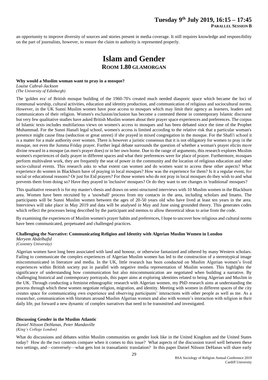### **Tuesday 9th July 2019, 16:15 – 17:45 PARALLEL SESSION B**

an opportunity to improve diversity of sources and stories present in media coverage. It still requires knowledge and responsibility on the part of journalists, however, to ensure the claim to authority is represented properly.

# **Islam and Gender ROOM 1.80 GLAMORGAN**

#### **Why would a Muslim woman want to pray in a mosque?**

*Louise Cabral-Jackson (The University of Edinburgh)*

The 'golden era' of British mosque building of the 1960-70's created much needed diasporic space which became the loci of communal worship, cultural activities, education and identity production, and communication of religious and sociocultural norms. However, in the UK Sunni Muslim women have poor access to mosques which may limit their agency as learners, leaders and communicators of their religion. Women's exclusion/inclusion has become a contested theme in contemporary Islamic discourse but very few qualitative studies have asked British Muslim women about their prayer space experiences and preferences. The corpus of Islamic texts includes multifarious views on women's access to mosques and has been debated since the time of the Prophet Muhammad. For the Sunni Hanafi legal school, women's access is limited according to the relative risk that a particular woman's presence might cause fitna (seduction or great unrest) if she prayed in mixed congregation in the mosque. For the Shafi'i school it is a matter for a male authority over women. There is however a juristic consensus that it is not obligatory for women to pray in the mosque, not even the Jumma Friday prayer. Further legal debate surrounds the question of whether a woman's prayer elicits more divine reward in a mosque (as men's prayer does) or in her own home. Due to the range of arguments, this research explores Muslim women's experiences of daily prayer in different spaces and what their preferences were for place of prayer. Furthermore, mosques perform multivalent work, they are frequently the seat of power in the community and the location of religious education and other socio-cultural events. This research asks to what extent can women and do women want to access these other aspects? What experience do women in Blackburn have of praying in local mosques? How was the experience for them? Is it a regular event, for social or educational reasons? Or just for Eid prayers? For those women who do not pray in local mosques do they wish to and what prevents them from doing so? Have they prayed in 'inclusive' mosques? Or do they want to see changes in 'traditional' mosques?

This qualitative research is for my master's thesis and draws on semi-structured interviews with 10 Muslim women in the Blackburn area. Women have been recruited by a 'snowball' process from my contacts in the area, including scholars and Imams. The participants will be Sunni Muslim women between the ages of 20-50 years old who have lived at least ten years in the area. Interviews will take place in May 2019 and data will be analysed in May and June using grounded theory. This generates codes which reflect the processes being described by the participant and memos to allow theoretical ideas to arise from the code.

By examining the experiences of Muslim women's prayer habits and preferences, I hope to uncover how religious and cultural norms have been communicated, perpetuated and challenged practices.

## **Challenging the Narrative: Communicating Religion and Identity with Algerian Muslim Women in London**

*Meryem Abdelhafid (Coventry University)*

Algerian women have long been associated with land and honour, or otherwise fantasized and othered by many Western scholars. Failing to communicate the complex experiences of Algerian Muslim women has led to the construction of a stereotypical image miscommunicated in literature and media. In the UK, little research has been conducted on Muslim Algerian women's lived experiences within British society put in parallel with negative media representation of Muslim women. This highlights the significance of understanding how communication but also miscommunication are negotiated when building a narrative. By challenging historical and contemporary portrayals, this paper aims at exploring identities related to being Algerian and Muslim in the UK. Through conducting a feminist ethnographic research with Algerian women, my PhD research aims at understanding the process through which these women negotiate religion, migration, and identity. Meeting with women in different spaces of the city creates space for communicating own experience and observing participants' interactions with other people as well as me. As a researcher, communication with literature around Muslim Algerian women and also with women's interaction with religion in their daily life, put forward a new dynamic of complex narratives that need to be transmitted and investigated.

#### **Discussing Gender in the Muslim Atlantic**

*Daniel Nilsson DeHanas, Peter Mandaville (King's College London)*

What do discussions and debates within Muslim communities on gender look like in the United Kingdom and the United States today? How do the two contexts compare when it comes to this issue? What aspects of the discussion travel well between these two settings, and—conversely—what gets lost in transatlantic translation? In this paper Daniel Nilsson DeHanas will share early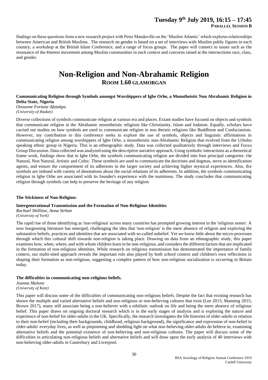## **Tuesday 9th July 2019, 16:15 – 17:45**

**PARALLEL SESSION B**

findings on these questions from a new research project with Peter Mandaville on the 'Muslim Atlantic' which explores relationships between American and British Muslims. The research on gender is based on a set of interviews with Muslim public figures in each country, a workshop at the British Islam Conference, and a range of focus groups. The paper will connect to issues such as the resonance of the #metoo movement among Muslim communities in each context and concerns raised at the intersections race, class, and gender.

# **Non-Religion and Non-Abrahamic Religion ROOM 1.60 GLAMORGAN**

#### **Communicating Religion through Symbols amongst Worshippers of Igbe Orhe, a Monotheistic Non Abrahamic Religion in Delta State, Nigeria** *Onoseme Fortune Afatakpa*

*(University of Ibadan)*

Diverse collections of symbols communicate religion at various era and places. Extant studies have focused on objects and symbols that communicate religion in the Abrahamic monotheistic religions like Christianity, Islam and Judaism. Equally, scholars have carried out studies on how symbols are used to communicate religion in non theistic religions like Buddhism and Confucianism. However, my contribution to this conference seeks to explore the use of symbols, objects and linguistic affirmations in communicating religion among worshippers of Igbe Orhe, a monotheistic non-Abrahamic Religion that evolved from the Urhobo speaking ethnic group in Nigeria. This is an ethnographic study. Data was collected qualitatively through interviews and Focus Group Discussion. Data collected was analyzed using the descriptive narrative approach. Using symbolic interactions as a theoretical frame work, findings show that in Igbe Orhe, the symbols communicating religion are divided into four principal categories: the Natural, Non Natural, Artistic and Cultic. These symbols are used to communicate the doctrines and dogmas, serve as identification agents, and ensure the comportment of its adherents in the larger society and achieving higher mystical experiences. Also, the symbols are imbued with variety of denotations about the social relations of its adherents. In addition, the symbols communicating religion in Igbe Orhe are associated with its founder's experience with the numinous. The study concludes that communicating religion through symbols can help to preserve the heritage of any religion.

#### **The Stickiness of Non-Religion:**

#### **Intergenerational Transmission and the Formation of Non-Religious Identities**

*Rachael Shillitoe, Anna Strhan (University of York)*

The rapid rise of those identifying as 'non-religious' across many countries has prompted growing interest in the 'religious nones'. A now burgeoning literature has emerged, challenging the idea that 'non-religion' is the mere absence of religion and exploring the substantive beliefs, practices and identities that are associated with so-called unbelief. Yet we know little about the micro-processes through which this cultural shift towards non-religion is taking place. Drawing on data from an ethnographic study, this paper examines how, when, where, and with whom children learn to be non-religious, and considers the different factors that are implicated in the formation of non-religious identities. While research on religious transmission has demonstrated the importance of family context, our multi-sited approach reveals the important role also played by both school context and children's own reflections in shaping their formation as non-religious, suggesting a complex pattern of how non-religious socialization is occurring in Britain today.

#### **The difficulties in communicating non-religious beliefs.**

#### *Joanna Malone*

#### *(University of Kent)*

This paper will discuss some of the difficulties of communicating non-religious beliefs. Despite the fact that existing research has shown the multiple and varied alternative beliefs and non-religious or non-believing cultures that exist (Lee 2015; Manning 2015; Brown 2017), many still associate being a non-believer with a nihilistic outlook on life and being the mere absence of religious belief. This paper draws on ongoing doctoral research which is in the early stages of analysis and is exploring the nature and experience of non-belief for older-adults in the UK. Specifically, the research investigates the life histories of older-adults in relation to their non-belief (including their backgrounds, childhood, religious background), the significance and expression of non-belief in older-adults' everyday lives, as well as pinpointing and shedding light on what non-believing older-adults do believe in, examining alternative beliefs and the potential existence of non-believing and non-religious cultures. The paper will discuss some of the difficulties in articulating non-religious beliefs and alternative beliefs and will draw upon the early analysis of 40 interviews with non-believing older-adults in Canterbury and Liverpool.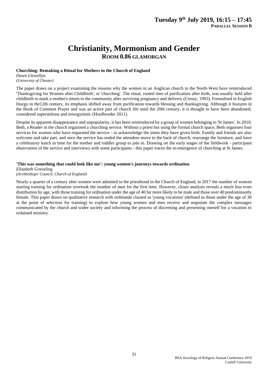# **Christianity, Mormonism and Gender ROOM 0.86 GLAMORGAN**

#### **Churching: Remaking a Ritual for Mothers in the Church of England**

*Dawn Llewellyn (University of Chester)*

The paper draws on a project examining the reasons why the women in an Anglican church in the North-West have reintroduced 'Thanksgiving for Women after Childbirth', or 'churching'. The ritual, rooted rites of purification after birth, was usually held after childbirth to mark a mother's return to the community after surviving pregnancy and delivery (Cressy, 1993). Formalised in English liturgy in the12th century, its emphasis shifted away from purification towards blessing and thanksgiving. Although it features in the Book of Common Prayer and was an active part of church life until the 20th century, it is thought to have been abandoned; considered superstitious and misogynistic (Houlbrooke 2011).

Despite its apparent disappearance and unpopularity, it has been reintroduced by a group of women belonging to 'St James'. In 2010, Beth, a Reader in the church organised a churching service. Without a priest but using the formal church space, Beth organises four services for women who have requested the service - to acknowledge the times they have given birth. Family and friends are also welcome and take part, and once the service has ended the attendees move to the back of church, rearrange the furniture, and have a celebratory lunch in time for the mother and toddler group to join in. Drawing on the early stages of the fieldwork - participant observation of the service and interviews with some participants - this paper traces the re-emergence of churching at St James.

#### **'This was something that could look like me': young women's journeys towards ordination**

*Elizabeth Graveling (Archbishops' Council, Church of England)*

Nearly a quarter of a century after women were admitted to the priesthood in the Church of England, in 2017 the number of women starting training for ordination overtook the number of men for the first time. However, closer analysis reveals a much less even distribution by age, with those training for ordination under the age of 40 far more likely to be male and those over 40 predominantly female. This paper draws on qualitative research with ordinands classed as 'young vocations' (defined as those under the age of 30 at the point of selection for training) to explore how young women and men receive and negotiate the complex messages communicated by the church and wider society and informing the process of discerning and presenting oneself for a vocation to ordained ministry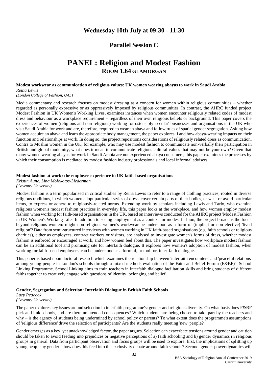## **Wednesday 10th July at 09:30 - 11:30**

## **Parallel Session C**

# **PANEL: Religion and Modest Fashion ROOM 1.64 GLAMORGAN**

#### **Modest workwear as communication of religious values: UK women wearing abayas to work in Saudi Arabia** *Reina Lewis*

#### *(London College of Fashion, UAL)*

Media commentary and research focuses on modest dressing as a concern for women within religious communities – whether regarded as personally expressive or as oppressively imposed by religious communities. In contrast, the AHRC funded project Modest Fashion in UK Women's Working Lives, examines instances when women encounter religiously related codes of modest dress and behaviour as a workplace requirement – regardless of their own religious beliefs or background. This paper covers the experiences of women (religious and non-religious) working for ostensibly 'secular' businesses and organisations in the UK who visit Saudi Arabia for work and are, therefore, required to wear an abaya and follow rules of spatial gender segregation. Asking how women acquire an abaya and learn the appropriate body management, the paper explores if and how abaya-wearing impacts on their function and relationships at work. In doing so, the project repositions considerations of religiously related dress as communication. Contra to Muslim women in the UK, for example, who may use modest fashion to communicate non-verbally their participation in British and global modernity, what does it mean to communicate religious cultural values that may not be your own? Given that many women wearing abayas for work in Saudi Arabia are not experienced abaya consumers, this paper examines the processes by which their consumption is mediated by modest fashion industry professionals and local informal advisers.

#### **Modest fashion at work: the employee experience in UK faith-based organisations**

*Kristin Aune, Lina Molokotos-Liederman (Coventry University)*

Modest fashion is a term popularised in critical studies by Reina Lewis to refer to a range of clothing practices, rooted in diverse religious traditions, in which women adopt particular styles of dress, cover certain parts of their bodies, or wear or avoid particular items, to express or adhere to religiously-related norms. Extending work by scholars including Lewis and Tarlo, who examine religious women's modest fashion practices in everyday life, this paper looks at the workplace, and how women employ modest fashion when working for faith-based organisations in the UK, based on interviews conducted for the AHRC project 'Modest Fashion in UK Women's Working Life'. In addition to seeing employment as a context for modest fashion, the project broadens the focus beyond religious women: might non-religious women's workwear be understood as a form of (implicit or non-elective) 'lived religion'? Data from semi-structured interviews with women working in UK faith-based organisations (e.g. faith schools or religious charities), either as employees, contract workers or visitors, are analysed to investigate women's forms of dress, whether modest fashion is enforced or encouraged at work, and how women feel about this. The paper investigates how workplace modest fashion can be an additional tool and promising site for interfaith dialogue. It explores how women's adoption of modest fashion, when working for faith-based employers, can be understood as a form of, or tool for, inter-faith dialogue.

This paper is based upon doctoral research which examines the relationship between 'interfaith encounters' and 'peaceful relations' among young people in London's schools through a mixed methods evaluation of the Faith and Belief Forum (F&BF)'s School Linking Programme. School Linking aims to train teachers in interfaith dialogue facilitation skills and bring students of different faiths together to creatively engage with questions of identity, belonging and belief.

#### **Gender, Segregation and Selection: Interfaith Dialogue in British Faith Schools**

*Lucy Peacock (Coventry University)*

The paper explores key issues around selection in interfaith programme's: gender and religious diversity. On what basis does F&BF pick and link schools, and are there unintended consequences? Which students are being chosen to take part by the teachers and why – is the agency of students being undermined by school policy or parents? To what extent does the programme's assumptions of 'religious difference' drive the selection of participants? Are the students really meeting 'new' people?

Gender emerges as a key, yet unacknowledged factor, the paper argues. Selection can exacerbate tensions around gender and caution should be taken to avoid feeding into prejudices or negative perceptions of a) faith schooling and b) gender dynamics in religious groups in general. Data from participant observation and focus groups will be used to explore, first, the implications of splitting up young people by gender – how does this feed into the exclusivity debate around faith schools? Second, gender power dynamics will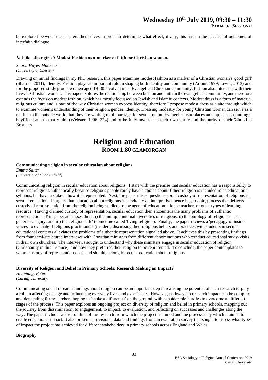be explored between the teachers themselves in order to determine what effect, if any, this has on the successful outcomes of interfaith dialogue.

#### **Not like other girls': Modest Fashion as a marker of faith for Christian women.**

*Shona Hayes-Mackenzie (University of Chester)*

Drawing on initial findings in my PhD research, this paper examines modest fashion as a marker of a Christian woman's 'good girl' (Sharma, 2011), identity. Fashion plays an important role in shaping both identity and community (Arthur, 1999; Lewis, 2013) and for the proposed study group, women aged 18-30 involved in an Evangelical Christian community, fashion also intersects with their lives as Christian women. This paper explores the relationship between fashion and faith in the evangelical community, and therefore extends the focus on modest fashion, which has mostly focussed on Jewish and Islamic contexts. Modest dress is a form of material religious culture and is part of the way Christian women express identity, therefore I propose modest dress as a site through which to examine women's understanding of their religion, gender, identity. Dressing modestly for young Christian women can serve as a marker to the outside world that they are waiting until marriage for sexual union. Evangelicalism places an emphasis on finding a boyfriend and to marry him (Webster, 1996, 274) and to be fully invested in their own purity and the purity of their 'Christian Brothers'.

# **Religion and Education ROOM 1.80 GLAMORGAN**

#### **Communicating religion in secular education about religions**

*Emma Salter (University of Huddersfield)*

Communicating religion in secular education about religions. I start with the premise that secular education has a responsibility to represent religions authentically because religious people rarely have a choice about if their religion is included in an educational syllabus, but have a stake in how it is represented. Next, the paper raises questions about custody of representation of religions in secular education. It argues that education about religions is inevitably an interpretive, hence hegemonic, process that deflects custody of representation from the religion being studied, to the agent of education – ie the teacher, or other types of learning resource. Having claimed custody of representation, secular education then encounters the many problems of authentic representation. This paper addresses three: i) the multiple internal diversities of religions, ii) the ontology of religion as a sui generis category, and iii) the 'religious life' (sometime called 'living religion'). Finally, the paper reviews a 'pedagogy of insider voices' to evaluate if religious practitioners (insiders) discussing their religious beliefs and practices with students in secular educational contexts alleviates the problems of authentic representation signalled above. It achieves this by presenting findings from four semi-structured interviews with Christian ministers from different denominations who conduct educational study-visits in their own churches. The interviews sought to understand why these ministers engage in secular education of religion (Christianity in this instance), and how they preferred their religion to be represented. To conclude, the paper contemplates to whom custody of representation does, and should, belong in secular education about religions.

#### **Diversity of Religion and Belief in Primary Schools: Research Making an Impact?**

*Hemming, Peter, (Cardiff University)*

Communicating social research findings about religion can be an important step in realising the potential of such research to play a role in affecting change and influencing everyday lives and experiences. However, pathways to research impact can be complex and demanding for researchers hoping to 'make a difference' on the ground, with considerable hurdles to overcome at different stages of the process. This paper explores an ongoing project on diversity of religion and belief in primary schools, mapping out the journey from dissemination, to engagement, to impact, to evaluation, and reflecting on successes and challenges along the way. The paper includes a brief outline of the research from which the project stemmed and the processes by which it aimed to create educational impact. It also presents provisional data and findings from an evaluation survey that sought to assess what types of impact the project has achieved for different stakeholders in primary schools across England and Wales.

#### **Biography**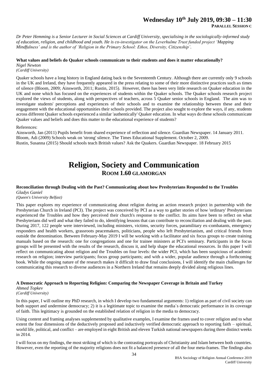### **Wednesday 10th July 2019, 09:30 – 11:30 PARALLEL SESSION C**

*Dr Peter Hemming is a Senior Lecturer in Social Sciences at Cardiff University, specialising in the sociologically-informed study of education, religion, and childhood and youth. He is co-investigator on the Leverhulme Trust funded project 'Mapping Mindfulness' and is the author of 'Religion in the Primary School: Ethos, Diversity, Citizenship'.*

#### **What values and beliefs do Quaker schools communicate to their students and does it matter educationally?**

*Nigel Newton (Cardiff University)*

Quaker schools have a long history in England dating back to the Seventeenth Century. Although there are currently only 9 schools in the UK and Ireland, they have frequently appeared in the press relating to some of their more distinctive practices such as times of silence (Bloom, 2009; Ainsworth, 2011; Rustin, 2015). However, there has been very little research on Quaker education in the UK and none which has focused on the experiences of students within the Quaker schools. The Quaker schools research project explored the views of students, along with perspectives of teachers, across 5 Quaker senior schools in England. The aim was to investigate students' perceptions and experiences of their schools and to examine the relationship between these and their engagement with the educational opportunities their schools provided. The project also sought to explore the ways, if any, students across different Quaker schools experienced a similar 'authentically' Quaker education. In what ways do these schools communicate Quaker values and beliefs and does this matter to the educational experience of students?

#### References:

Ainsworth, Jan (2011) Pupils benefit from shared experience of reflection and silence. Guardian Newspaper. 14 January 2011. Bloom, Adi (2009) Schools weak on 'strong' silence. The Times Educational Supplement. October 2, 2009. Rustin, Susanna (2015) Should schools teach British values? Ask the Quakers. Guardian Newspaper. 18 February 2015

# **Religion, Society and Communication ROOM 1.60 GLAMORGAN**

#### **Reconciliation through Dealing with the Past? Communicating about how Presbyterians Responded to the Troubles**  *Gladys Ganiel*

*(Queen's University Belfast)*

This paper explores my experience of communicating about religion during an action research project in partnership with the Presbyterian Church in Ireland (PCI). The project was conceived by PCI as a way to gather stories of how 'ordinary' Presbyterians experienced the Troubles and how they perceived their church's response to the conflict. Its aims have been to reflect on what Presbyterians did well and what they failed to do, identifying lessons that can contribute to reconciliation and dealing with the past. During 2017, 122 people were interviewed, including ministers, victims, security forces, paramilitary ex-combatants, emergency responders and health workers, grassroots peacemakers, politicians, people who left Presbyterianism, and critical friends from outside the denomination. Between February-May 2019 I will be working with a facilitator and six focus groups to create training manuals based on the research: one for congregations and one for trainee ministers at PCI's seminary. Participants in the focus groups will be presented with the results of the research, discuss it, and help shape the educational resources. In this paper I will reflect on communicating about religion and the Troubles on four levels: the wider PCI, which has been suspicious of academic research on religion; interview participants; focus group participants; and with a wider, popular audience through a forthcoming book. While the ongoing nature of the research makes it difficult to draw final conclusions, I will identify the main challenges for communicating this research to diverse audiences in a Northern Ireland that remains deeply divided along religious lines.

#### **A Democratic Approach to Reporting Religion: Comparing the Newspaper Coverage in Britain and Turkey**

#### *Ahmed Topkev (Cardiff University)*

In this paper, I will outline my PhD research, in which I develop two fundamental arguments: 1) religion as part of civil society can both support and undermine democracy; 2) it is a legitimate topic to examine the media`s democratic performance in its coverage of faith. This legitimacy is grounded on the established relation of religion in the media to democracy.

Using content and framing analyses supplemented by qualitative examples, I examine the frames used to cover religion and to what extent the four dimensions of the deductively proposed and inductively verified democratic approach to reporting faith – spiritual, world life, political, and conflict – are employed in eight British and eleven Turkish national newspapers during three distinct weeks in 2014.

I will focus on my findings, the most striking of which is the contrasting portrayals of Christianity and Islam between both countries. However, even the reporting of the majority religions does not fit a balanced presence of all the four meta-frames. The findings also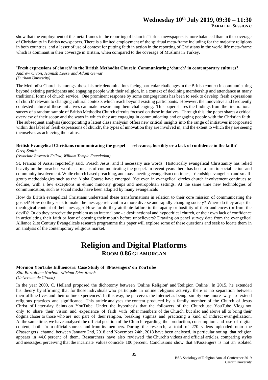# **Wednesday 10th July 2019, 09:30 – 11:30**

**PARALLEL SESSION C**

show that the employment of the meta-frames in the reporting of Islam in Turkish newspapers is more balanced than in the coverage of Christianity in British newspapers. There is a limited employment of the spiritual meta-frame including for the majority religions in both countries, and a lesser of use of context for putting faith in action in the reporting of Christians in the world life meta-frame which is dominant in their coverage in Britain, when compared to the coverage of Muslims in Turkey.

#### **'Fresh expressions of church' in the British Methodist Church: Communicating 'church' in contemporary cultures?**

*Andrew Orton, Hamish Leese and Adam Gemar*

*(Durham Univesrity)*

The Methodist Church is amongst those historic denominations facing particular challenges in the British context in communicating beyond existing participants and engaging people with their religion, in a context of declining membership and attendance at many traditional forms of church service. One prominent response by some congregations has been to seek to develop 'fresh expressions of church' relevant to changing cultural contexts which reach beyond existing participants. However, the innovative and frequently contested nature of these initiatives can make researching them challenging. This paper shares the findings from the first national survey of a random sample of British Methodist Church circuits focused on these initiatives. Through this, the paper shares a critical overview of their scope and the ways in which they are engaging in communicating and engaging people with the Christian faith. The subsequent analysis (incorporating a latent class analysis) offers new critical insights into the range of initiatives incorporated within this label of 'fresh expressions of church', the types of innovation they are involved in, and the extent to which they are seeing themselves as achieving their aims.

#### **British Evangelical Christians communicating the gospel - relevance, hostility or a lack of confidence in the faith?**  *Greg Smith*

#### *(Associate Research Fellow, William Temple Foundation)*

St. Francis of Assisi reportedly said, 'Preach Jesus, and if necessary use words.' Historically evangelical Christianity has relied heavily on the preached word as a means of communicating the gospel. In recent years there has been a turn to social action and community involvement. While church based preaching, and mass meeting evangelism continues, friendship evangelism and smallgroup methodologies such as the Alpha Course have emerged. Yet even in evangelical circles church involvement continues to decline, with a few exceptions in ethnic minority groups and metropolitan settings. At the same time new technologies of communication, such as social media have been adopted by many evangelicals

How do British evangelical Christians understand these transformations in relation to their core mission of communicating the gospel? How do they seek to make the message relevant in a more diverse and rapidly changing society? Where do they adapt the theological content of their message? How far do they attribute failure to the apathy or hostility of their audiences (or from the devil)? Or do they perceive the problem as an internal one - a dysfunctional and hypocritical church, or their own lack of confidence in articulating their faith or fear of opening their mouth before unbelievers? Drawing on panel survey data from the evangelical Alliance 21st Century Evangelicals research programme this paper will explore some of these questions and seek to locate them in an analysis of the contemporary religious market.

# **Religion and Digital Platforms ROOM 0.86 GLAMORGAN**

#### **Mormon YouTube Influencers: Case Study of '8Passengers' on YouTube**

*Zita Bartolome Narbon, Míriam Díez Bosch (Universitat de Girona)*

In the year 2000, C. Helland proposed the dichotomy between 'Online Religion' and 'Religion Online'. In 2015, he extended his theory by affirming that 'for those individuals who participate in online religious activity, there is no separation between their offline lives and their online experiences'. In this way, he perceives the Internet as being simply one more way to extend religious practices and significance. This article analyses the content produced by a family member of the Church of Jesus Christ of Latter-day Saints on YouTube. Under the hypothesis that the followers of the Church use YouTube Vlogs not only to share their vision and experience of faith with other members of the Church, but also and above all to bring their dogma closer to those who are not part of their religion, breaking stigmas and practicing a kind of indirect evangelization. At the same time, we have analysed the official position of the Church regarding the production, consumption and use of digital content, both from official sources and from its members. During the research, a total of 270 videos uploaded onto the 8Passengers channel between January 2nd, 2018 and November 24th, 2018 have been analysed, in particular noting that religion appears in 44.6 percent of them. Researchers have also reviewed the Church's videos and official articles, comparing styles and messages, perceiving that the incarnate values coincide 100 percent. Conclusions show that 8Passengers is not an isolated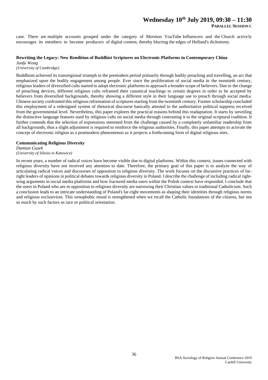### **Wednesday 10th July 2019, 09:30 – 11:30 PARALLEL SESSION C**

case. There are multiple accounts grouped under the category of Mormon YouTube Influencers and the Church actively encourages its members to become producers of digital content, thereby blurring the edges of Helland's dichotomy.

#### **Rewriting the Legacy: New Rendition of Buddhist Scriptures on Electronic Platforms in Contemporary China**

*Junfu Wong (University of Cambridge)*

Buddhism achieved its transregional triumph in the premodern period primarily through bodily preaching and travelling, an act that emphasized upon the bodily engagement among people. Ever since the proliferation of social media in the twentieth century, religious leaders of diversified cults started to adopt electronic platforms to approach a broader scope of believers. Due to the change of preaching devices, different religious cults reframed their canonical teachings to certain degrees in order to be accepted by believers from diversified backgrounds, thereby showing a different style in their language use to preach through social media. Chinese society confronted this religious reformation of scriptures starting from the twentieth century. Former scholarship concluded this employment of a redesigned system of rhetorical discourse basically attested to the authoritative political suppress received from the governmental level. Nevertheless, this paper explores the practical reasons behind this readaptation. It starts by unveiling the distinctive language features used by religious cults on social media through contrasting it to the original scriptural tradition. It further contends that the selection of expressions stemmed from the challenge caused by a completely unfamiliar readership from all backgrounds, thus a slight adjustment is required to reinforce the religious authorities. Finally, this paper attempts to activate the concept of electronic religion as a postmodern phenomenon as it projects a forthcoming form of digital religious sites.

#### **Communicating Religious Diversity**

*Damian Guzek (University of Silesia in Katowice)*

In recent years, a number of radical voices have become visible due to digital platforms. Within this context, issues connected with religious diversity have not received any attention to date. Therefore, the primary goal of this paper is to analyze the way of articulating radical voices and discourses of opposition to religious diversity. The work focuses on the discursive practices of farright leaders of opinions in political debates towards religious diversity in Poland. I describe the challenge of including radical rightwing arguments in social media platforms and how fractured media users within the Polish context have responded. I conclude that the users in Poland who are in opposition to religious diversity are narrowing their Christian values to traditional Catholicism. Such a conclusion leads to an intricate understanding of Poland's far-right movements as shaping their identities through religious norms and religious exclusivism. This xenophobic mood is strengthened when we recall the Catholic foundations of the citizens, but not so much by such factors as race or political orientation.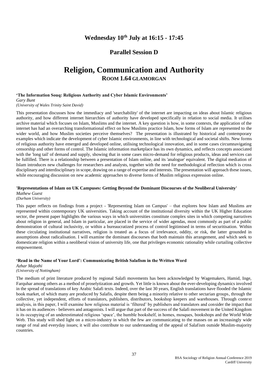# **Wednesday 10th July at 16:15 - 17:45**

## **Parallel Session D**

# **Religion, Communication and Authority ROOM 1.64 GLAMORGAN**

#### **'The Information Souq: Religious Authority and Cyber Islamic Environments'**

#### *Gary Bunt (University of Wales Trinity Saint David)*

This presentation discusses how the immediacy and 'searchability' of the internet are impacting on ideas about Islamic religious authority, and how different internet hierarchies of authority have developed specifically in relation to social media. It utilises archive material which focuses on Islam, Muslims and the internet. A key question is how, in some contexts, the application of the internet has had an overarching transformational effect on how Muslims practice Islam, how forms of Islam are represented to the wider world, and how Muslim societies perceive themselves? The presentation is illustrated by historical and contemporary examples which indicate the development of cyber Islamic environments, in line with technological and societal shifts. New forms of religious authority have emerged and developed online, utilising technological innovation, and in some cases circumnavigating censorship and other forms of control. The Islamic information marketplace has its own dynamics, and reflects concepts associated with the 'long tail' of demand and supply, showing that in some cases micro-demand for religious products, ideas and services can be fulfilled. There is a relationship between a presentation of Islam online, and its 'analogue' equivalent. The digital mediation of Islam introduces new challenges for researchers and analysts, together with the need for methodological reflection which is cross disciplinary and interdisciplinary in scope, drawing on a range of expertise and interests. The presentation will approach these issues, while encouraging discussion on new academic approaches to diverse forms of Muslim religious expression online.

#### **'Representations of Islam on UK Campuses: Getting Beyond the Dominant Discourses of the Neoliberal University'**  *Mathew Guest*

*(Durham University)*

This paper reflects on findings from a project - 'Representing Islam on Campus' – that explores how Islam and Muslims are represented within contemporary UK universities. Taking account of the institutional diversity within the UK Higher Education sector, the present paper highlights the various ways in which universities constitute complex sites in which competing narratives about religion in general, and Islam in particular, are placed in the service of wider agendas, most commonly as part of a public demonstration of cultural inclusivity, or within a bureaucratized process of control legitimised in terms of securitisation. Within these circulating institutional narratives, religion is treated as a focus of irrelevance, oddity, or risk, the latter grounded in assumptions about radicalisation. I will examine the dominant discourses that both maintain this arrangement, and which seek to domesticate religion within a neoliberal vision of university life, one that privileges economic rationality while curtailing collective empowerment.

#### **'Read in the Name of Your Lord': Communicating British Salafism in the Written Word**

*Azhar Majothi*

*(University of Nottingham)*

The medium of print literature produced by regional Salafi movements has been acknowledged by Wagemakers, Hamid, Inge, Farquhar among others as a method of proselytization and growth. Yet little is known about the ever-developing dynamics involved in the spread of translations of key Arabic Salafi texts. Indeed, over the last 30 years, English translations have flooded the Islamic book market, of which many are produced by Salafis, despite them being a minority relative to other sectarian groups, through the collective, yet independent, efforts of translators, publishers, distributors, bookshop keepers and warehouses. Through context analysis, in this paper, I will examine how religious material is 'filtered' by publishers and translators and consider the impact that it has on its audiences - believers and antagonists. I will argue that part of the success of the Salafi movement in the United Kingdom is its occupying of an underestimated religious 'space', the humble bookshelf, in homes, mosques, bookshops and the World Wide Web. This study will shed light on a micro-industry in which the few are communicating to the masses on an increasingly wide range of real and everyday issues; it will also contribute to our understanding of the appeal of Salafism outside Muslim-majority countries.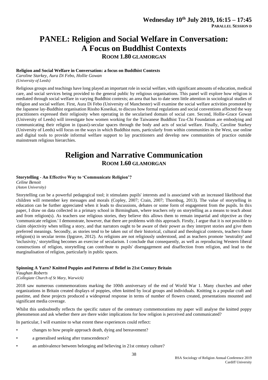# **PANEL: Religion and Social Welfare in Conversation: A Focus on Buddhist Contexts ROOM 1.80 GLAMORGAN**

### **Religion and Social Welfare in Conversation: a focus on Buddhist Contexts**

*Caroline Starkey, Aura Di Febo, Hollie Gowan*

*(University of Leeds)*

Religious groups and teachings have long played an important role in social welfare, with significant amounts of education, medical care, and social services being provided to the general public by religious organisations. This panel will explore how religion is mediated through social welfare in varying Buddhist contexts; an area that has to date seen little attention in sociological studies of religion and social welfare. First, Aura Di Febo (University of Manchester) will examine the social welfare activities promoted by the Japanese lay-Buddhist organisation Rissho Koseikai, to discuss how formal regulations and social conventions affected the way practitioners expressed their religiosity when operating in the secularised domain of social care. Second, Hollie-Grace Gowan (University of Leeds) will investigate how women working for the Taiwanese Buddhist Tzu-Chi Foundation are embodying and communicating their religion in (quasi)-secular spaces through the body and acts of social welfare. Finally, Caroline Starkey (University of Leeds) will focus on the ways in which Buddhist nuns, particularly from within communities in the West, use online and digital tools to provide informal welfare support to lay practitioners and develop new communities of practice outside mainstream religious hierarchies.

# **Religion and Narrative Communication ROOM 1.60 GLAMORGAN**

#### **Storytelling - An Effective Way to 'Communicate Religion'?**

*Celine Benoit (Aston University)*

Storytelling can be a powerful pedagogical tool; it stimulates pupils' interests and is associated with an increased likelihood that children will remember key messages and morals (Copley, 2007; Crain, 2007; Thornbug, 2013). The value of storytelling in education can be further appreciated when it leads to discussions, debates or some form of engagement from the pupils. In this paper, I draw on data collected in a primary school in Birmingham, where teachers rely on storytelling as a means to teach about and from religion(s). As teachers use religious stories, they believe this allows them to remain impartial and objective as they 'communicate religion.' I demonstrate, however, that there are problems with this approach. Firstly, I argue that it is not possible to claim objectivity when telling a story, and that narrators ought to be aware of their power as they interpret stories and give them preferred meanings. Secondly, as stories tend to be taken out of their historical, cultural and theological contexts, teachers frame religion(s) in secular terms (Ipgrave, 2012). As religions are not religiously understood, and as teachers promote 'neutrality' and 'inclusivity,' storytelling becomes an exercise of secularism. I conclude that consequently, as well as reproducing Western liberal constructions of religion, storytelling can contribute to pupils' disengagement and disaffection from religion, and lead to the marginalisation of religion, particularly in public spaces.

#### **Spinning A Yarn? Knitted Poppies and Patterns of Belief in 21st Century Britain**

*Vaughan Roberts (Collegiate Church of St Mary, Warwick)*

2018 saw numerous commemorations marking the 100th anniversary of the end of World War 1. Many churches and other organizations in Britain created displays of poppies, often knitted by local groups and individuals. Knitting is a popular craft and pastime, and these projects produced a widespread response in terms of number of flowers created, presentations mounted and significant media coverage.

Whilst this undoubtedly reflects the specific nature of the centenary commemorations my paper will analyse the knitted poppy phenomenon and ask whether there are there wider implications for how religion is perceived and communicated?

In particular, I will examine to what extent these experiences could reflect:

- changes to how people approach death, dying and bereavement?
- a generalised seeking after transcendence?
- an ambivalence between belonging and believing in 21st century culture?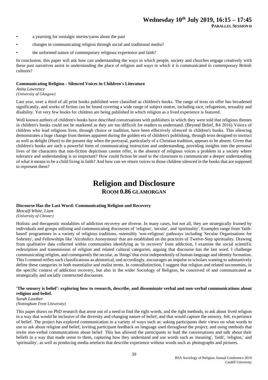- a yearning for nostalgic stories/yarns about the past
- changes in communicating religion through social and traditional media?
- the unformed nature of contemporary religious experience and faith?

In conclusion, this paper will ask how can understanding the ways in which people, society and churches engage creatively with these past narratives assist in understanding the place of religion and ways in which it is communicated in contemporary British cultures?

#### **Communicating Religion - Silenced Voices in Children's Literature**

#### *Anita Lawrence*

*(University of Glasgow)*

Last year, over a third of all print books published were classified as children's books. The range of texts on offer has broadened significantly, and works of fiction can be found covering a wide range of subject matter, including race, refugeeism, sexuality and disability. Yet very few books for children are being published in which religion as a lived experience is featured.

Well known authors of children's books have described conversations with publishers in which they were told that religious themes in children's books could not be marketed as they are too difficult for readers to understand. (Beyond Belief, R4 2016) Voices of children who lead religious lives, through choice or tradition, have been effectively silenced in children's books. This silencing demonstrates a huge change from themes apparent during the golden era of children's publishing, through texts designed to instruct as well as delight (Hunt) to the present day when the portrayal, particularly of a Christian tradition, appears to be absent. Given that children's books are such a powerful form of communicating instruction and understanding, providing insights into the personal lives of the characters that non-fiction depictions cannot offer, is the absence of religious voices a problem in a society where tolerance and understanding is so important? How could fiction be used in the classroom to communicate a deeper understanding of what it means to be a child living in faith? And how can we return voices to those children silenced in the books that are supposed to represent them?

# **Religion and Disclosure ROOM 0.86 GLAMORGAN**

#### **Discourse Has the Last Word: Communicating Religion and Recovery**

*Metcalf-White, Liam (University of Chester)*

Holistic and therapeutic modalities of addiction recovery are diverse. In many cases, but not all, they are strategically framed by individuals and groups utilising and communicating discourses of 'religion', 'secular', and 'spirituality'. Examples range from 'faithbased' programmes in a variety of religious traditions, ostensibly 'non-religious' pathways including 'Secular Organisations for Sobriety', and Fellowships like 'Alcoholics Anonymous' that are established on the practices of Twelve-Step spirituality. Drawing from qualitative data collected within communities identifying as 'in recovery' from addiction, I examine the social scientific redesription and transmission of religion and related cultural categories, arguing that discourse has the last word. I challenge communicating religion, and consequently the secular, as 'things' that exist independently of human language and identity formation. This I contend reifies such classifications as ahistorical, and accordingly, encourages an impulse in scholars wanting to substantively define these categories in both essentialist and realist terms. In contradistinction, I suggest that religion and related taxonomies, in the specific context of addiction recovery, but also in the wider Sociology of Religion, be conceived of and communicated as strategically and socially constructed discourses.

#### **'The sensory is belief': exploring how to research, describe, and disseminate verbal and non-verbal communications about religion and belief.**

#### *Sarah Lawther (Nottingham Trent University)*

This paper draws on PhD research that arose out of a need to find the right words, and the right methods, to ask about lived religion in a way that would be inclusive of the diversity and changing nature of belief, and that would capture the sensory, felt, experience of belief. The project has explored communication in a variety of ways such as: asking participants their views on what words to use to ask about religion and belief; inviting participant feedback on language used throughout the project; and using methods that invite non-verbal communications about belief. This has allowed the participants to lead the conversations and talk about their beliefs in a way that made sense to them, capturing how they understand and use words such as 'meaning', 'faith', 'religion,' and 'spirituality', as well as producing media artefacts that describe experience without words such as photographs and pictures.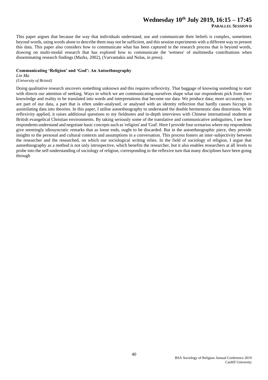# **Wednesday 10th July 2019, 16:15 – 17:45**

**PARALLEL SESSION D**

This paper argues that because the way that individuals understand, use and communicate their beliefs is complex, sometimes beyond words, using words alone to describe them may not be sufficient, and this session experiments with a different way to present this data. This paper also considers how to communicate what has been captured in the research process that is beyond words, drawing on multi-modal research that has explored how to communicate the 'wetness' of multimedia contributions when disseminating research findings (Marks, 2002), (Varvantakis and Nolas, in press).

#### **Communicating 'Religion' and 'God': An Autoethnography**

*Lin Ma*

#### *(University of Bristol)*

Doing qualitative research uncovers something unknown and this requires reflexivity. That baggage of knowing something to start with directs our attention of seeking. Ways in which we are communicating ourselves shape what our respondents pick from their knowledge and reality to be translated into words and interpretations that become our data. We produce data; more accurately, we are part of our data, a part that is often under-analysed, or analysed with an identity reflection that hardly causes hiccups in assimilating data into theories. In this paper, I utilise autoethnography to understand the double hermeneutic data distortions. With reflexivity applied, it raises additional questions to my fieldnotes and in-depth interviews with Chinese international students at British evangelical Christian environments. By taking seriously some of the translative and communicative ambiguities, I see how respondents understand and negotiate basic concepts such as 'religion' and 'God'. Here I provide four scenarios where my respondents give seemingly idiosyncratic remarks that as loose ends, ought to be discarded. But in the autoethnographic piece, they provide insights to the personal and cultural contexts and assumptions in a conversation. This process fosters an inter-subjectivity between the researcher and the researched, on which our sociological writing relies. In the field of sociology of religion, I argue that autoethnography as a method is not only introspective, which benefits the researcher, but it also enables researchers at all levels to probe into the self-understanding of sociology of religion, corresponding to the reflexive turn that many disciplines have been going through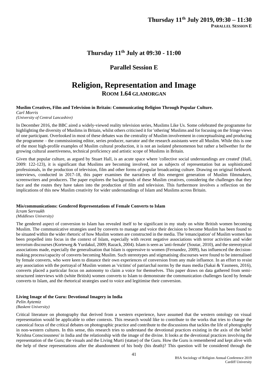## **Thursday 11th July at 09:30 - 11:00**

## **Parallel Session E**

# **Religion, Representation and Image ROOM 1.64 GLAMORGAN**

**Muslim Creatives, Film and Television in Britain: Communicating Religion Through Popular Culture.** *Carl Morris*

*(University of Central Lancashire)*

In December 2016, the BBC aired a widely-viewed reality television series, Muslims Like Us. Some celebrated the programme for highlighting the diversity of Muslims in Britain, whilst others criticised it for 'othering' Muslims and for focusing on the fringe views of one participant. Overlooked in most of these debates was the centrality of Muslim involvement in conceptualising and producing the programme – the commissioning editor, series producer, narrator and the research assistants were all Muslim. While this is one of the most high-profile examples of Muslim cultural production, it is not an isolated phenomenon but rather a bellwether for the growing cultural assertiveness, technical proficiency and artistic scope of Muslims in Britain.

Given that popular culture, as argued by Stuart Hall, is an acute space where 'collective social understandings are created' (Hall, 2009: 122-123), it is significant that Muslims are becoming involved, not as subjects of representation but as sophisticated professionals, in the production of television, film and other forms of popular broadcasting culture. Drawing on original fieldwork interviews, conducted in 2017-18, this paper examines the narratives of this emergent generation of Muslim filmmakers, screenwriters and producers. The paper explores the backgrounds of these Muslim creatives, considering the challenges that they face and the routes they have taken into the production of film and television. This furthermore involves a reflection on the implications of this new Muslim creativity for wider understandings of Islam and Muslims across Britain.

#### **Mis/communications: Gendered Representations of Female Converts to Islam**

*Icram Serroukh*

*(Middlesex University)*

The gendered aspect of conversion to Islam has revealed itself to be significant in my study on white British women becoming Muslim. The communicative strategies used by converts to manage and voice their decision to become Muslim has been found to be situated within the wider rhetoric of how Muslim women are constructed in the media. The 'emancipation' of Muslim women has been propelled into focus in the context of Islam, especially with recent negative associations with terror activities and wider terrorism discourses (Korteweg & Yurdakul, 2009; Razack, 2004). Islam is seen as 'anti-female' (Soutar, 2010), and the stereotypical associations made, especially the generalisation that Islam is oppressive to women (Fernandez, 2009), has influenced the decisionmaking process/capacity of converts becoming Muslim. Such stereotypes and stigmatising discourses were found to be internalised by female converts, who were keen to distance their own experiences of conversion from any male influence. In an effort to resist any association with the portrayal of Muslim women as 'victims' of patriarchal norms by the mass media (Sakai  $\&$  Yasmeen, 2016), converts placed a particular focus on autonomy to claim a voice for themselves. This paper draws on data gathered from semistructured interviews with (white British) women converts to Islam to demonstrate the communication challenges faced by female converts to Islam, and the rhetorical strategies used to voice and legitimise their conversion.

#### **Living Image of the Guru: Devotional Imagery in India**

*Pelin Aytemiz (Baskent University)*

Critical literature on photography that derived from a western experience, have assumed that the western ontology on visual representation would be applicable to other contexts. This research would like to contribute to the works that tries to change the canonical focus of the critical debates on photographic practice and contribute to the discussions that tackles the life of photography in non-western cultures. In this sense, this research tries to understand the devotional practices existing in the axis of the belief 'Krishna Consciousness' in India and the relationship with the image of the divine. It looks at the devotional practices involving the representation of the Guru; the visuals and the Living Murti (statue) of the Guru. How the Guru is remembered and kept alive with the help of these representations after the abandonment of his body (his death)? This question will be considered through the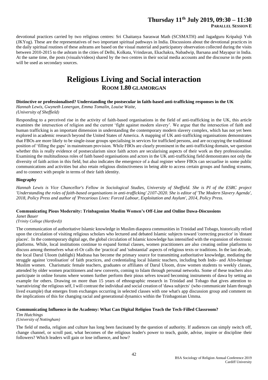# **Thursday 11th July 2019, 09:30 – 11:30**

**PARALLEL SESSION E**

devotional practices carried by two religious centres: Sri Chaitanya Saraswat Math (SCSMATH) and Jagadguru Kripaluji Yoh (JKYog). These are the representatives of two important spiritual pathways in India. Discussions about the devotional practices in the daily spiritual routines of these ashrams are based on the visual material and participatory observation collected during the visits between 2010-2015 to the ashram in the cities of Delhi, Kolkata, Vrindavan, Ekachakra, Nabadwip, Barsana and Mayapur in India. At the same time, the posts (visuals/videos) shared by the two centres in their social media accounts and the discourse in the posts will be used as secondary sources.

# **Religious Living and Social interaction ROOM 1.80 GLAMORGAN**

## **Distinctive or professionalised? Understanding the postsecular in faith-based anti-trafficking responses in the UK**

*Hannah Lewis, Gwyneth Lonergan, Emma Tomalin, Louise Waite,*

#### *(University of Sheffield)*

Responding to a perceived rise in the activity of faith-based organisations in the field of anti-trafficking in the UK, this article examines the intersection of religion and the current 'fight against modern slavery'. We argue that the intersection of faith and human trafficking is an important dimension in understanding the contemporary modern slavery complex, which has not yet been explored in academic research beyond the United States of America. A mapping of UK anti-trafficking organisations demonstrates that FBOs are more likely to be single-issue groups specialising in services for trafficked persons, and are occupying the traditional position of 'filling the gaps' in mainstream provision. While FBOs are clearly prominent in the anti-trafficking domain, we question whether this is really evidence of postsecularism since faith actors are secularising aspects of their work as they professionalise. Examining the multitudinous roles of faith based organisations and actors in the UK anti-trafficking field demonstrates not only the diversity of faith action in this field, but also indicates the emergence of a dual register where FBOs can secuarlise in some public communications and activities but also retain religious distinctiveness in being able to access certain groups and funding streams, and to connect with people in terms of their faith identity.

#### **Biography**

*Hannah Lewis is Vice Chancellor's Fellow in Sociological Studies, University of Sheffield. She is PI of the ESRC project 'Understanding the roles of faith-based organisations in anti-trafficking' 2107-2020. She is editor of 'The Modern Slavery Agenda', 2018, Policy Press and author of 'Precarious Lives: Forced Labour, Exploitation and Asylum', 2014, Policy Press.* 

#### **Communicating Pious Modernity: Trinbagonian Muslim Women's Off-Line and Online Dawa-Discussions**

*Janet Bauer*

*(Trinity College (Hartford))*

The communication of authoritative Islamic knowledge in Muslim diaspora communities in Trinidad and Tobago, historically relied upon the circulation of visiting religious scholars who lectured and debated Islamic subjects toward 'correcting practice' in 'distant places'. In the contemporary digital age, the global circulation of Islamic knowledge has intensified with the expansion of electronic platforms. While, local institutions continue to expand formal classes, women practitioners are also creating online platforms to discuss among themselves what el-Or calls the 'practical' and 'substantial' aspects of religious texts or traditions. In the last decade, the local Darul Uloom (tablighi) Madrasa has become the primary source for transmitting authoritative knowledge, mediating the struggle against 'creolisation' of faith practices, and credentialing local Islamic teachers, including both Indo- and Afro-heritage Muslim women. Charismatic female teachers, graduates or affiliates of Darul Uloom, draw women students to weekly classes, attended by older women practitioners and new converts, coming to Islam through personal networks. Some of these teachers also participate in online forums where women further perform their pious selves toward becoming instruments of dawa by setting an example for others. Drawing on more than 15 years of ethnographic research in Trinidad and Tobago that gives attention to 'narrativizing' the religious self, I will contrast the individual and social creation of 'dawa subjects' (who communicate Islam through lived example) that emerges from exchanges occurring in selected classes with one what's app discussion group and comment on the implications of this for changing racial and generational dynamics within the Trinbagonian Umma.

#### **Communicating Influence in the Academy: What Can Digital Religion Teach the Tech-Filled Classroom?**

*Tim Hutchings (University of Nottingham)*

The field of media, religion and culture has long been fascinated by the question of authority. If audiences can simply switch off, change channel, or scroll past, what becomes of the religious leader's power to teach, guide, advise, inspire or discipline their followers? Which leaders will gain or lose influence, and how?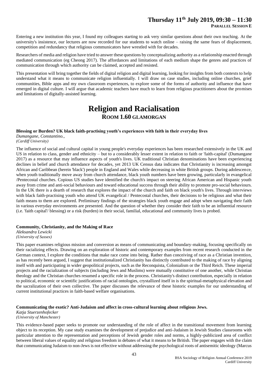Entering a new institution this year, I found my colleagues starting to ask very similar questions about their own teaching. At the university's insistence, our lectures are now recorded for our students to watch online – raising the same fears of displacement, competition and redundancy that religious communicators have wrestled with for decades.

Researchers of media and religion have tried to answer these questions by conceptualizing authority as a relationship enacted through mediated communication (eg Cheong 2017). The affordances and limitations of each medium shape the genres and practices of communication through which authority can be claimed, accepted and resisted.

This presentation will bring together the fields of digital religion and digital learning, looking for insights from both contexts to help understand what it means to communicate religion influentially. I will draw on case studies, including online churches, grief communities, Bible apps and my own classroom experiences, to explore some of the forms of authority and influence that have emerged in digital culture. I will argue that academic teachers have much to learn from religious practitioners about the promises and limitations of digitally-assisted learning.

# **Religion and Racialisation ROOM 1.60 GLAMORGAN**

#### **Blessing or Burden? UK black faith-practising youth's experiences with faith in their everyday lives**

*Dumangane, Constantino., (Cardiff University)*

The influence of social and cultural capital in young people's everyday experiences has been researched extensively in the UK and US in relation to class, gender and ethnicity – but to a considerably lesser extent in relation to faith or 'faith-capital' (Dumangane 2017) as a resource that may influence aspects of youth's lives. UK traditional Christian denominations have been experiencing declines in belief and church attendance for decades, yet 2013 UK Census data indicates that Christianity is increasing amongst African and Caribbean (herein 'black') people in England and Wales while decreasing in white British groups. During adolescence, when youth traditionally move away from church attendance, black youth numbers have been growing, particularly in evangelical /Pentecostal churches. Copious US studies have identified the church's impact on steering African American and Hispanic youth away from crime and anti-social behaviours and toward educational success through their ability to promote pro-social behaviours. In the UK there is a dearth of research that explores the impact of the church and faith on black youth's lives. Through interviews with black faith-practising youth who attend UK evangelical / Pentecostal churches, their decisions to be religious and what their faith means to them are explored. Preliminary findings of the strategies black youth engage and adopt when navigating their faith in various everyday environments are presented. And the question of whether they consider their faith to be an influential resource (i.e. 'faith capital'/ blessing) or a risk (burden) in their social, familial, educational and community lives is probed.

#### **Community, Christianity, and the Making of Race**

*Aleksandra Lewicki (University of Sussex)*

This paper examines religious mission and conversion as means of communicating and boundary-making, focusing specifically on their racializing effects. Drawing on an exploration of historic and contemporary examples from recent research conducted in the German context, I explore the conditions that make race come into being. Rather than conceiving of race as a Christian invention, as has recently been argued, I suggest that institutionalized Christianity has distinctly contributed to the making of race by aligning itself with and participating in wider geopolitical projects, such as the Reconquista, Colonialism or the Third Reich. These imperial projects and the racialization of subjects (including Jews and Muslims) were mutually constitutive of one another, while Christian theology and the Christian churches resumed a specific role in the process. Christianity's distinct contribution, especially in relation to political, economic or scientific justifications of racial ontologies, crystallized itself in is the spiritual-metaphysical elevation and the sacralization of their own collective. The paper discusses the relevance of these historic examples for our understanding of current institutional practices in faith-based welfare organisations.

#### **Communicating the exotic? Anti-Judaism and affect in cross-cultural learning about religious Jews.**

*Katja Stuerzenhofecker (University of Manchester)*

This evidence-based paper seeks to promote our understanding of the role of affect in the transitional movement from learning object to its reception. My case study examines the development of prejudice and anti-Judaism in Jewish Studies classrooms with particular attention to the representation and perceptions of Jewish gender roles and norms, a highly-publicized area of conflict between liberal values of equality and religious freedom in debates of what it means to be British. The paper engages with the claim that communicating Judaism to non-Jews is not effective without addressing the psychological roots of antisemitic ideology (Marcus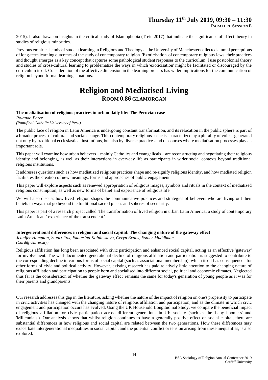## **Thursday 11th July 2019, 09:30 – 11:30**

2015). It also draws on insights in the critical study of Islamophobia (Trein 2017) that indicate the significance of affect theory in studies of religious minorities.

Previous empirical study of student learning in Religions and Theology at the University of Manchester collected alumni perceptions of long-term learning outcomes of the study of contemporary religion. 'Exoticisation' of contemporary religious Jews, their practices and thought emerges as a key concept that captures some pathological student responses to the curriculum. I use postcolonial theory and studies of cross-cultural learning to problematize the ways in which 'exoticisation' might be facilitated or discouraged by the curriculum itself. Consideration of the affective dimension in the learning process has wider implications for the communication of religion beyond formal learning situations.

# **Religion and Mediatised Living ROOM 0.86 GLAMORGAN**

#### **The mediatisation of religious practices in urban daily life: The Peruvian case**

*Rolando Perez (Pontifical Catholic University of Peru)*

The public face of religion in Latin America is undergoing constant transformation, and its relocation in the public sphere is part of a broader process of cultural and social change. This contemporary religious scene is characterized by a plurality of voices generated not only by traditional ecclesiastical institutions, but also by diverse practices and discourses where mediatisation processes play an important role.

This paper will examine how urban believers – mainly Catholics and evangelicals – are reconstructing and negotiating their religious identity and belonging, as well as their interactions in everyday life as participants in wider social contexts beyond traditional religious institutions.

It addresses questions such as how mediatized religious practices shape and re-signify religious identity, and how mediated religion facilitates the creation of new meanings, forms and approaches of public engagement.

This paper will explore aspects such as renewed appropriation of religious images, symbols and rituals in the context of mediatized religious consumption, as well as new forms of belief and experience of religious life

We will also discuss how lived religion shapes the communicative practices and strategies of believers who are living out their beliefs in ways that go beyond the traditional sacred places and spheres of secularity.

This paper is part of a research project called 'The transformation of lived religion in urban Latin America: a study of contemporary Latin Americans' experience of the transcendent.'

#### **Intergenerational differences in religion and social capital: The changing nature of the gateway effect**

*Jennifer Hampton, Stuart Fox, Ekaterina Kolpinskaya, Ceryn Evans, Esther Muddiman (Cardiff University)*

Religious affiliation has long been associated with civic participation and enhanced social capital, acting as an effective 'gateway' for involvement. The well-documented generational decline of religious affiliation and participation is suggested to contribute to the corresponding decline in various forms of social capital (such as associational membership), which itself has consequences for other forms of civic and political activity. However, existing research has paid relatively little attention to the changing nature of religious affiliation and participation to people born and socialised into different social, political and economic climates. Neglected thus far is the consideration of whether the 'gateway effect' remains the same for today's generation of young people as it was for their parents and grandparents.

Our research addresses this gap in the literature, asking whether the nature of the impact of religion on one's propensity to participate in civic activities has changed with the changing nature of religious affiliation and participation, and as the climate in which civic engagement and participation occurs has evolved. Using the UK Household Longitudinal Study, we compare the beneficial impact of religious affiliation for civic participation across different generations in UK society (such as the 'baby boomers' and 'Millennials'). Our analysis shows that whilst religion continues to have a generally positive effect on social capital, there are substantial differences in how religious and social capital are related between the two generations. How these differences may exacerbate intergenerational inequalities in social capital, and the potential conflict or tension arising from these inequalities, is also explored.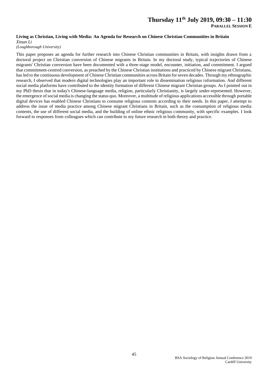#### **Living as Christian, Living with Media: An Agenda for Research on Chinese Christian Communities in Britain**

*Xinan Li*

*(Loughborough University)*

This paper proposes an agenda for further research into Chinese Christian communities in Britain, with insights drawn from a doctoral project on Christian conversion of Chinese migrants in Britain. In my doctoral study, typical trajectories of Chinese migrants' Christian conversion have been documented with a three-stage model, encounter, initiation, and commitment. I argued that commitment-centred conversion, as preached by the Chinese Christian institutions and practiced by Chinese migrant Christians, has led to the continuous development of Chinese Christian communities across Britain for seven decades. Through my ethnographic research, I observed that modern digital technologies play an important role in dissemination religious information. And different social media platforms have contributed to the identity formation of different Chinese migrant Christian groups. As I pointed out in my PhD thesis that in today's Chinese-language media, religion, particularly Christianity, is largely under-represented. However, the emergence of social media is changing the status quo. Moreover, a multitude of religious applications accessible through portable digital devices has enabled Chinese Christians to consume religious contents according to their needs. In this paper, I attempt to address the issue of media practice among Chinese migrant Christians in Britain, such as the consumption of religious media contents, the use of different social media, and the building of online ethnic religious community, with specific examples. I look forward to responses from colleagues which can contribute to my future research in both theory and practice.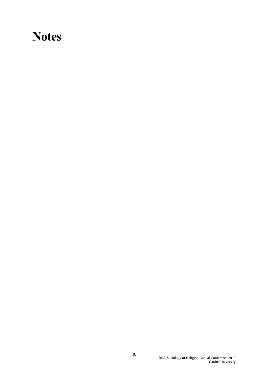# <span id="page-45-0"></span>**Notes**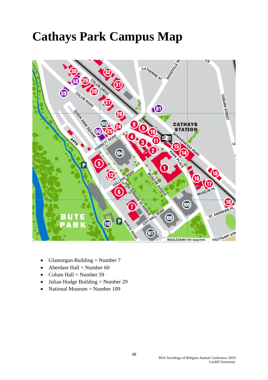# <span id="page-47-0"></span>**Cathays Park Campus Map**



- Glamorgan Building  $=$  Number 7
- Aberdare Hall = Number 60
- Colum Hall = Number 59
- Julian Hodge Building = Number 29
- National Museum = Number 109